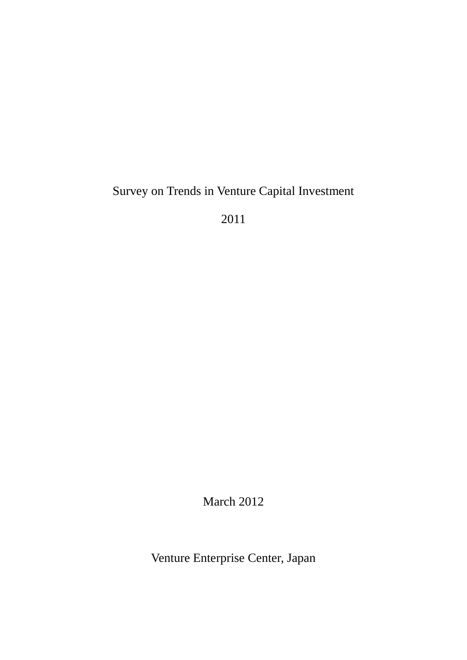# Survey on Trends in Venture Capital Investment

2011

March 2012

Venture Enterprise Center, Japan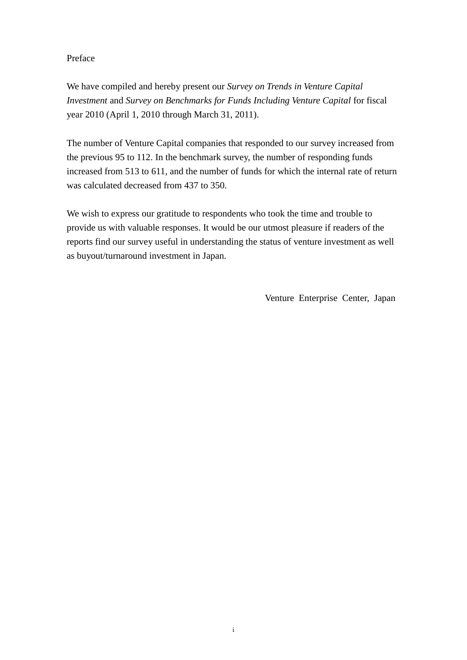# Preface

We have compiled and hereby present our *Survey on Trends in Venture Capital Investment* and *Survey on Benchmarks for Funds Including Venture Capital* for fiscal year 2010 (April 1, 2010 through March 31, 2011).

The number of Venture Capital companies that responded to our survey increased from the previous 95 to 112. In the benchmark survey, the number of responding funds increased from 513 to 611, and the number of funds for which the internal rate of return was calculated decreased from 437 to 350.

We wish to express our gratitude to respondents who took the time and trouble to provide us with valuable responses. It would be our utmost pleasure if readers of the reports find our survey useful in understanding the status of venture investment as well as buyout/turnaround investment in Japan.

Venture Enterprise Center, Japan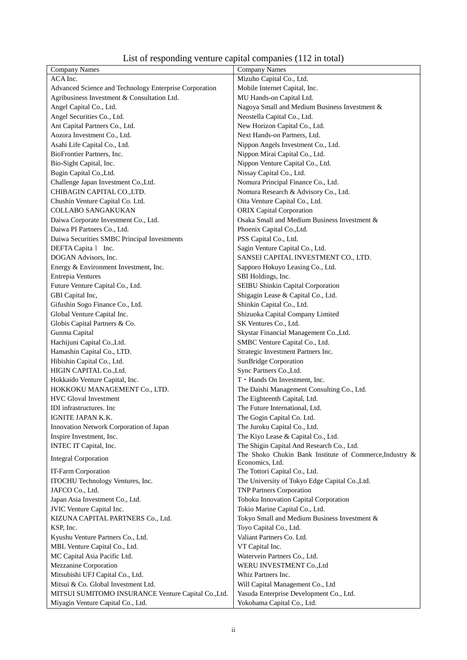| List of responding venture capital companies (112 in total) |  |  |
|-------------------------------------------------------------|--|--|
|-------------------------------------------------------------|--|--|

| <b>Company Names</b>                                   | <b>Company Names</b>                                                       |
|--------------------------------------------------------|----------------------------------------------------------------------------|
| ACA Inc.                                               | Mizuho Capital Co., Ltd.                                                   |
| Advanced Science and Technology Enterprise Corporation | Mobile Internet Capital, Inc.                                              |
| Agribusiness Investment & Consultation Ltd.            | MU Hands-on Capital Ltd.                                                   |
| Angel Capital Co., Ltd.                                | Nagoya Small and Medium Business Investment &                              |
| Angel Securities Co., Ltd.                             | Neostella Capital Co., Ltd.                                                |
| Ant Capital Partners Co., Ltd.                         | New Horizon Capital Co., Ltd.                                              |
| Aozora Investment Co., Ltd.                            | Next Hands-on Partners, Ltd.                                               |
| Asahi Life Capital Co., Ltd.                           | Nippon Angels Investment Co., Ltd.                                         |
| BioFrontier Partners, Inc.                             | Nippon Mirai Capital Co., Ltd.                                             |
| Bio-Sight Capital, Inc.                                | Nippon Venture Capital Co., Ltd.                                           |
| Bugin Capital Co., Ltd.                                | Nissay Capital Co., Ltd.                                                   |
| Challenge Japan Investment Co., Ltd.                   | Nomura Principal Finance Co., Ltd.                                         |
| CHIBAGIN CAPITAL CO., LTD.                             | Nomura Research & Advisory Co., Ltd.                                       |
| Chushin Venture Capital Co. Ltd.                       | Oita Venture Capital Co., Ltd.                                             |
| COLLABO SANGAKUKAN                                     | <b>ORIX Capital Corporation</b>                                            |
| Daiwa Corporate Investment Co., Ltd.                   | Osaka Small and Medium Business Investment &                               |
| Daiwa PI Partners Co., Ltd.                            | Phoenix Capital Co., Ltd.                                                  |
| Daiwa Securities SMBC Principal Investments            | PSS Capital Co., Ltd.                                                      |
| DEFTA Capita 1 Inc.                                    | Sagin Venture Capital Co., Ltd.                                            |
| DOGAN Advisors, Inc.                                   | SANSEI CAPITAL INVESTMENT CO., LTD.                                        |
| Energy & Environment Investment, Inc.                  | Sapporo Hokuyo Leasing Co., Ltd.                                           |
| Entrepia Ventures                                      | SBI Holdings, Inc.                                                         |
| Future Venture Capital Co., Ltd.                       | SEIBU Shinkin Capital Corporation                                          |
| GBI Capital Inc,                                       | Shigagin Lease & Capital Co., Ltd.                                         |
| Gifushin Sogo Finance Co., Ltd.                        | Shinkin Capital Co., Ltd.                                                  |
| Global Venture Capital Inc.                            |                                                                            |
|                                                        | Shizuoka Capital Company Limited                                           |
| Globis Capital Partners & Co.                          | SK Ventures Co., Ltd.                                                      |
| Gunma Capital                                          | Skystar Financial Management Co., Ltd.                                     |
| Hachijuni Capital Co., Ltd.                            | SMBC Venture Capital Co., Ltd.                                             |
| Hamashin Capital Co., LTD.                             | Strategic Investment Partners Inc.                                         |
| Hibishin Capital Co., Ltd.                             | SunBridge Corporation                                                      |
| HIGIN CAPITAL Co., Ltd.                                | Sync Partners Co., Ltd.                                                    |
| Hokkaido Venture Capital, Inc.                         | T · Hands On Investment, Inc.                                              |
| HOKKOKU MANAGEMENT Co., LTD.                           | The Daishi Management Consulting Co., Ltd.                                 |
| <b>HVC Gloval Investment</b>                           | The Eighteenth Capital, Ltd.                                               |
| IDI infrastructures. Inc                               | The Future International, Ltd.                                             |
| IGNITE JAPAN K.K.                                      | The Gogin Capital Co. Ltd.                                                 |
| Innovation Network Corporation of Japan                | The Juroku Capital Co., Ltd.                                               |
| Inspire Investment, Inc.                               | The Kiyo Lease & Capital Co., Ltd.                                         |
| INTEC IT Capital, Inc.                                 | The Shigin Capital And Research Co., Ltd.                                  |
| <b>Integral Corporation</b>                            | The Shoko Chukin Bank Institute of Commerce, Industry &<br>Economics, Ltd. |
| IT-Farm Corporation                                    | The Tottori Capital Co., Ltd.                                              |
| ITOCHU Technology Ventures, Inc.                       | The University of Tokyo Edge Capital Co., Ltd.                             |
| JAFCO Co., Ltd.                                        | <b>TNP Partners Corporation</b>                                            |
| Japan Asia Investment Co., Ltd.                        | Tohoku Innovation Capital Corporation                                      |
| JVIC Venture Capital Inc.                              | Tokio Marine Capital Co., Ltd.                                             |
| KIZUNA CAPITAL PARTNERS Co., Ltd.                      | Tokyo Small and Medium Business Investment &                               |
| KSP, Inc.                                              | Toyo Capital Co., Ltd.                                                     |
| Kyushu Venture Partners Co., Ltd.                      | Valiant Partners Co. Ltd.                                                  |
| MBL Venture Capital Co., Ltd.                          | VT Capital Inc.                                                            |
| MC Capital Asia Pacific Ltd.                           | Watervein Partners Co., Ltd.                                               |
| Mezzanine Corporation                                  | WERU INVESTMENT Co., Ltd                                                   |
| Mitsubishi UFJ Capital Co., Ltd.                       | Whiz Partners Inc.                                                         |
| Mitsui & Co. Global Investment Ltd.                    | Will Capital Management Co., Ltd                                           |
| MITSUI SUMITOMO INSURANCE Venture Capital Co., Ltd.    | Yasuda Enterprise Development Co., Ltd.                                    |
| Miyagin Venture Capital Co., Ltd.                      | Yokohama Capital Co., Ltd.                                                 |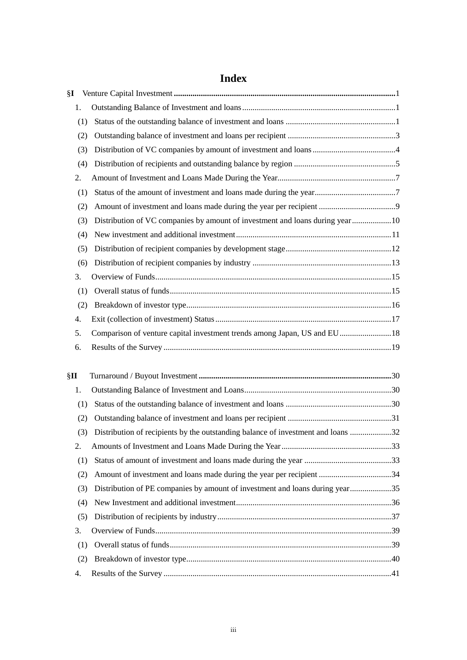| §Ι  |                                                                                  |  |
|-----|----------------------------------------------------------------------------------|--|
| 1.  |                                                                                  |  |
| (1) |                                                                                  |  |
| (2) |                                                                                  |  |
| (3) |                                                                                  |  |
| (4) |                                                                                  |  |
| 2.  |                                                                                  |  |
| (1) |                                                                                  |  |
| (2) |                                                                                  |  |
| (3) | Distribution of VC companies by amount of investment and loans during year10     |  |
| (4) |                                                                                  |  |
| (5) |                                                                                  |  |
| (6) |                                                                                  |  |
| 3.  |                                                                                  |  |
| (1) |                                                                                  |  |
| (2) |                                                                                  |  |
| 4.  |                                                                                  |  |
| 5.  | Comparison of venture capital investment trends among Japan, US and EU18         |  |
| 6.  |                                                                                  |  |
| §П  |                                                                                  |  |
| 1.  |                                                                                  |  |
| (1) |                                                                                  |  |
| (2) |                                                                                  |  |
| (3) | Distribution of recipients by the outstanding balance of investment and loans 32 |  |
| 2.  |                                                                                  |  |
| (1) |                                                                                  |  |
| (2) |                                                                                  |  |
| (3) | Distribution of PE companies by amount of investment and loans during year35     |  |
| (4) |                                                                                  |  |
| (5) |                                                                                  |  |
| 3.  |                                                                                  |  |
| (1) |                                                                                  |  |
| (2) |                                                                                  |  |
| 4.  |                                                                                  |  |

# **Index**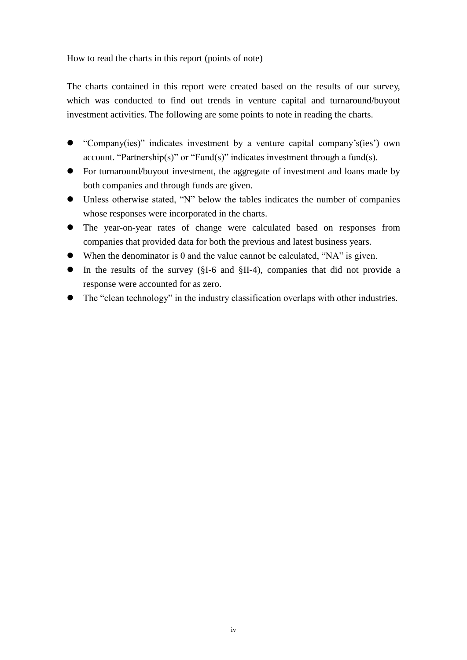How to read the charts in this report (points of note)

The charts contained in this report were created based on the results of our survey, which was conducted to find out trends in venture capital and turnaround/buyout investment activities. The following are some points to note in reading the charts.

- "Company(ies)" indicates investment by a venture capital company's(ies') own account. "Partnership(s)" or "Fund(s)" indicates investment through a fund(s).
- For turnaround/buyout investment, the aggregate of investment and loans made by both companies and through funds are given.
- Unless otherwise stated, "N" below the tables indicates the number of companies whose responses were incorporated in the charts.
- The year-on-year rates of change were calculated based on responses from companies that provided data for both the previous and latest business years.
- When the denominator is 0 and the value cannot be calculated, "NA" is given.
- In the results of the survey (§I-6 and §II-4), companies that did not provide a response were accounted for as zero.
- The "clean technology" in the industry classification overlaps with other industries.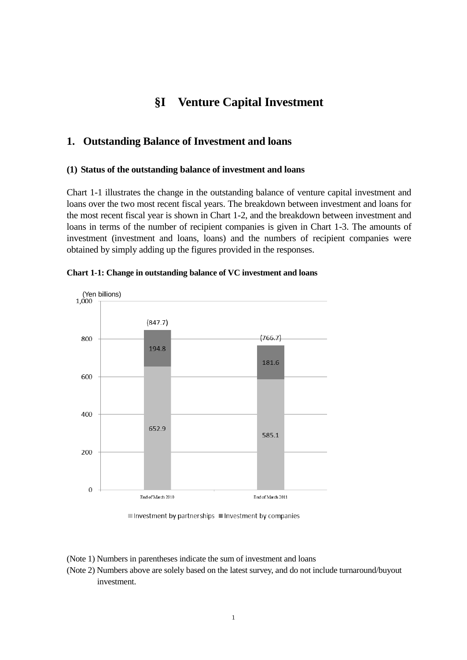# **§I Venture Capital Investment**

# <span id="page-5-1"></span><span id="page-5-0"></span>**1. Outstanding Balance of Investment and loans**

#### <span id="page-5-2"></span>**(1) Status of the outstanding balance of investment and loans**

Chart 1-1 illustrates the change in the outstanding balance of venture capital investment and loans over the two most recent fiscal years. The breakdown between investment and loans for the most recent fiscal year is shown in Chart 1-2, and the breakdown between investment and loans in terms of the number of recipient companies is given in Chart 1-3. The amounts of investment (investment and loans, loans) and the numbers of recipient companies were obtained by simply adding up the figures provided in the responses.



**Chart 1-1: Change in outstanding balance of VC investment and loans** 

Investment by partnerships Investment by companies

(Note 1) Numbers in parentheses indicate the sum of investment and loans

<sup>(</sup>Note 2) Numbers above are solely based on the latest survey, and do not include turnaround/buyout investment.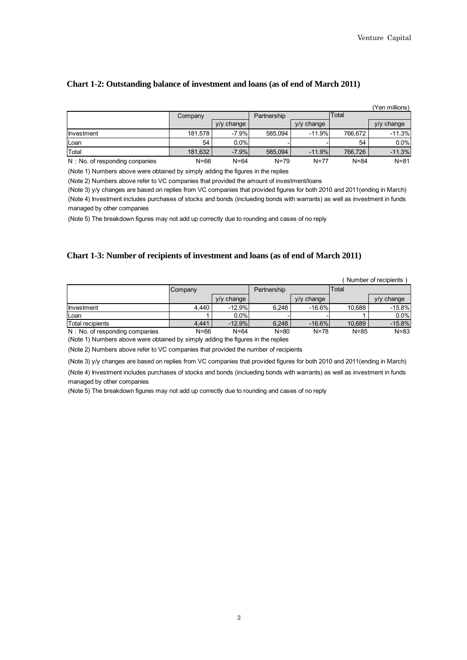#### **Chart 1-2: Outstanding balance of investment and loans (as of end of March 2011)**

|                                 |          |               |             |            |          | (Yen millions) |
|---------------------------------|----------|---------------|-------------|------------|----------|----------------|
|                                 | Company  |               | Partnership |            | Total    |                |
|                                 |          | change<br>V/V |             | y/y change |          | $y/y$ change   |
| Investment                      | 181.578  | $-7.9%$       | 585.094     | $-11.9%$   | 766.672  | $-11.3%$       |
| Loan                            | 54       | 0.0%          |             |            | 54       | 0.0%           |
| Total                           | 181,632  | $-7.9%$       | 585,094     | $-11.9%$   | 766.726  | $-11.3%$       |
| N : No. of responding conpanies | $N = 66$ | $N = 64$      | $N = 79$    | $N = 77$   | $N = 84$ | $N = 81$       |

(Note 1) Numbers above were obtained by simply adding the figures in the replies

(Note 2) Numbers above refer to VC companies that provided the amount of investment/loans

(Note 4) Investment includes purchases of stocks and bonds (inclueding bonds with warrants) as well as investment in funds managed by other companies (Note 3) y/y changes are based on replies from VC companies that provided figures for both 2010 and 2011(ending in March)

(Note 5) The breakdown figures may not add up correctly due to rounding and cases of no reply

#### **Chart 1-3: Number of recipients of investment and loans (as of end of March 2011)**

| (Number of recipients) |  |  |  |
|------------------------|--|--|--|
|------------------------|--|--|--|

|                                 | Company |              | Pertnership |              | Total    |              |
|---------------------------------|---------|--------------|-------------|--------------|----------|--------------|
|                                 |         | $V/V$ change |             | $y/y$ change |          | $V/V$ change |
| <b>Investment</b>               | 4.440   | $-12.9%$     | 6.248       | $-16.6%$     | 10.688   | $-15.8%$     |
| Loan                            |         | 0.0%         |             |              |          | 0.0%         |
| Total recipients                | 4.441   | $-12.9%$     | 6.248       | $-16.6%$     | 10.689   | $-15.8%$     |
| N : No. of responding companies | N=66    | $N = 64$     | $N = 80$    | $N = 78$     | $N = 85$ | $N = 83$     |

(Note 1) Numbers above were obtained by simply adding the figures in the replies

(Note 2) Numbers above refer to VC companies that provided the number of recipients

(Note 3) y/y changes are based on replies from VC companies that provided figures for both 2010 and 2011(ending in March)

<span id="page-6-0"></span>(Note 4) Investment includes purchases of stocks and bonds (inclueding bonds with warrants) as well as investment in funds managed by other companies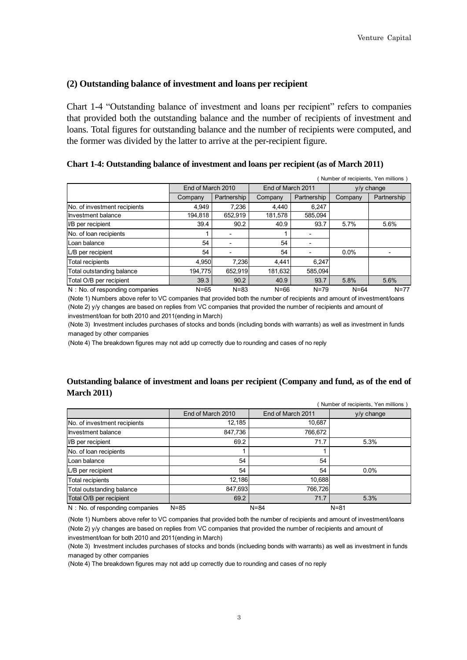### **(2) Outstanding balance of investment and loans per recipient**

Chart 1-4 "Outstanding balance of investment and loans per recipient" refers to companies that provided both the outstanding balance and the number of recipients of investment and loans. Total figures for outstanding balance and the number of recipients were computed, and the former was divided by the latter to arrive at the per-recipient figure.

|  | Chart 1-4: Outstanding balance of investment and loans per recipient (as of March 2011) |  |  |
|--|-----------------------------------------------------------------------------------------|--|--|
|  |                                                                                         |  |  |

|                                 | Number of recipients, Yen millions) |             |                   |             |              |             |
|---------------------------------|-------------------------------------|-------------|-------------------|-------------|--------------|-------------|
|                                 | End of March 2010                   |             | End of March 2011 |             | $V/V$ change |             |
|                                 | Company                             | Partnership | Company           | Partnership | Company      | Partnership |
| No. of investment recipients    | 4.949                               | 7,236       | 4.440             | 6,247       |              |             |
| Investment balance              | 194.818                             | 652,919     | 181,578           | 585,094     |              |             |
| I/B per recipient               | 39.4                                | 90.2        | 40.9              | 93.7        | 5.7%         | 5.6%        |
| No. of loan recipients          |                                     |             |                   |             |              |             |
| Loan balance                    | 54                                  |             | 54                |             |              |             |
| L/B per recipient               | 54                                  |             | 54                |             | 0.0%         |             |
| <b>Total recipients</b>         | 4,950                               | 7.236       | 4.441             | 6.247       |              |             |
| Total outstanding balance       | 194.775                             | 652,919     | 181,632           | 585.094     |              |             |
| Total O/B per recipient         | 39.3                                | 90.2        | 40.9              | 93.7        | 5.8%         | 5.6%        |
| N : No. of responding companies | $N = 65$                            | $N = 83$    | $N = 66$          | $N = 79$    | $N = 64$     | $N=77$      |

(Note 1) Numbers above refer to VC companies that provided both the number of recipients and amount of investment/loans (Note 2) y/y changes are based on replies from VC companies that provided the number of recipients and amount of investment/loan for both 2010 and 2011(ending in March)

(Note 3) Investment includes purchases of stocks and bonds (including bonds with warrants) as well as investment in funds managed by other companies

(Note 4) The breakdown figures may not add up correctly due to rounding and cases of no reply

## **Outstanding balance of investment and loans per recipient (Company and fund, as of the end of March 2011)**

|                                 |                   |                   | Number of recipients, Yen millions) |
|---------------------------------|-------------------|-------------------|-------------------------------------|
|                                 | End of March 2010 | End of March 2011 | y/y change                          |
| No. of investment recipients    | 12,185            | 10,687            |                                     |
| Investment balance              | 847,736           | 766,672           |                                     |
| <b>I/B</b> per recipient        | 69.2              | 71.7              | 5.3%                                |
| No. of loan recipients          |                   |                   |                                     |
| Loan balance                    | 54                | 54                |                                     |
| L/B per recipient               | 54                | 54                | $0.0\%$                             |
| <b>Total recipients</b>         | 12,186            | 10,688            |                                     |
| Total outstanding balance       | 847,693           | 766,726           |                                     |
| Total O/B per recipient         | 69.2              | 71.7              | 5.3%                                |
| N : No. of responding companies | $N = 85$          | $N = 84$          | $N = 81$                            |

(Note 1) Numbers above refer to VC companies that provided both the number of recipients and amount of investment/loans (Note 2) y/y changes are based on replies from VC companies that provided the number of recipients and amount of investment/loan for both 2010 and 2011(ending in March)

(Note 3) Investment includes purchases of stocks and bonds (inclueding bonds with warrants) as well as investment in funds managed by other companies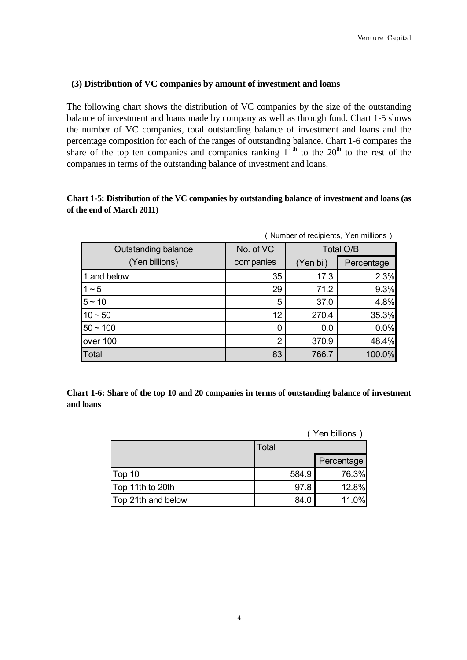## <span id="page-8-0"></span>**(3) Distribution of VC companies by amount of investment and loans**

The following chart shows the distribution of VC companies by the size of the outstanding balance of investment and loans made by company as well as through fund. Chart 1-5 shows the number of VC companies, total outstanding balance of investment and loans and the percentage composition for each of the ranges of outstanding balance. Chart 1-6 compares the share of the top ten companies and companies ranking  $11<sup>th</sup>$  to the 20<sup>th</sup> to the rest of the companies in terms of the outstanding balance of investment and loans.

# **Chart 1-5: Distribution of the VC companies by outstanding balance of investment and loans (as of the end of March 2011)**

|                     | (Number of recipients, Yen millions) |           |            |  |  |
|---------------------|--------------------------------------|-----------|------------|--|--|
| Outstanding balance | No. of VC                            | Total O/B |            |  |  |
| (Yen billions)      | companies                            | (Yen bil) | Percentage |  |  |
| 1 and below         | 35                                   | 17.3      | 2.3%       |  |  |
| $1 - 5$             | 29                                   | 71.2      | 9.3%       |  |  |
| $5 - 10$            | 5                                    | 37.0      | 4.8%       |  |  |
| $10 - 50$           | 12                                   | 270.4     | 35.3%      |  |  |
| $ 50 - 100$         | 0                                    | 0.0       | 0.0%       |  |  |
| lover 100           | $\overline{2}$                       | 370.9     | 48.4%      |  |  |
| Total               | 83                                   | 766.7     | 100.0%     |  |  |

**Chart 1-6: Share of the top 10 and 20 companies in terms of outstanding balance of investment and loans**

|                    |       | (Yen billions |
|--------------------|-------|---------------|
|                    | Total |               |
|                    |       | Percentage    |
| Top 10             | 584.9 | 76.3%         |
| Top 11th to 20th   | 97.8  | 12.8%         |
| Top 21th and below | 84.0  | 11.0%         |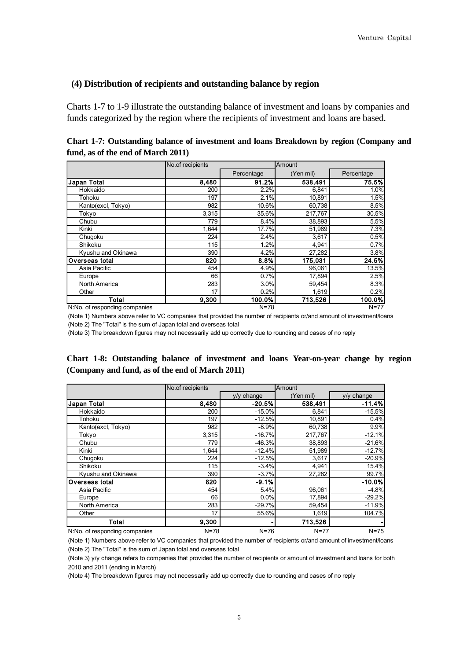#### <span id="page-9-0"></span>**(4) Distribution of recipients and outstanding balance by region**

Charts 1-7 to 1-9 illustrate the outstanding balance of investment and loans by companies and funds categorized by the region where the recipients of investment and loans are based.

| Chart 1-7: Outstanding balance of investment and loans Breakdown by region (Company and |  |  |
|-----------------------------------------------------------------------------------------|--|--|
| fund, as of the end of March 2011)                                                      |  |  |

|                               | No.of recipients |            | Amount    |            |  |
|-------------------------------|------------------|------------|-----------|------------|--|
|                               |                  | Percentage | (Yen mil) | Percentage |  |
| Japan Total                   | 8,480            | 91.2%      | 538,491   | 75.5%      |  |
| Hokkaido                      | 200              | 2.2%       | 6,841     | 1.0%       |  |
| Tohoku                        | 197              | 2.1%       | 10,891    | 1.5%       |  |
| Kanto(excl, Tokyo)            | 982              | 10.6%      | 60,738    | 8.5%       |  |
| Tokyo                         | 3,315            | 35.6%      | 217,767   | 30.5%      |  |
| Chubu                         | 779              | 8.4%       | 38,893    | 5.5%       |  |
| Kinki                         | 1,644            | 17.7%      | 51,989    | 7.3%       |  |
| Chugoku                       | 224              | 2.4%       | 3,617     | 0.5%       |  |
| Shikoku                       | 115              | 1.2%       | 4,941     | 0.7%       |  |
| Kyushu and Okinawa            | 390              | 4.2%       | 27,282    | 3.8%       |  |
| Overseas total                | 820              | 8.8%       | 175,031   | 24.5%      |  |
| Asia Pacific                  | 454              | 4.9%       | 96,061    | 13.5%      |  |
| Europe                        | 66               | 0.7%       | 17,894    | 2.5%       |  |
| North America                 | 283              | 3.0%       | 59,454    | 8.3%       |  |
| Other                         | 17               | 0.2%       | 1,619     | 0.2%       |  |
| <b>Total</b>                  | 9,300            | 100.0%     | 713,526   | 100.0%     |  |
| N:No. of responding companies |                  | $N = 78$   |           | $N = 77$   |  |

(Note 1) Numbers above refer to VC companies that provided the number of recipients or/and amount of investment/loans (Note 2) The "Total" is the sum of Japan total and overseas total

(Note 3) The breakdown figures may not necessarily add up correctly due to rounding and cases of no reply

## **Chart 1-8: Outstanding balance of investment and loans Year-on-year change by region (Company and fund, as of the end of March 2011)**

|                               | No of recipients |              | Amount    |              |  |
|-------------------------------|------------------|--------------|-----------|--------------|--|
|                               |                  | $y/y$ change | (Yen mil) | $y/y$ change |  |
| <b>Japan Total</b>            | 8,480            | $-20.5%$     | 538,491   | $-11.4%$     |  |
| Hokkaido                      | 200              | $-15.0%$     | 6,841     | $-15.5%$     |  |
| Tohoku                        | 197              | $-12.5%$     | 10,891    | 0.4%         |  |
| Kanto(excl, Tokyo)            | 982              | $-8.9%$      | 60,738    | 9.9%         |  |
| Tokyo                         | 3,315            | $-16.7%$     | 217,767   | $-12.1%$     |  |
| Chubu                         | 779              | $-46.3%$     | 38,893    | $-21.6%$     |  |
| Kinki                         | 1,644            | $-12.4%$     | 51,989    | $-12.7%$     |  |
| Chugoku                       | 224              | $-12.5%$     | 3,617     | $-20.9%$     |  |
| Shikoku                       | 115              | $-3.4%$      | 4,941     | 15.4%        |  |
| Kyushu and Okinawa            | 390              | $-3.7%$      | 27,282    | 99.7%        |  |
| Overseas total                | 820              | $-9.1%$      |           | $-10.0%$     |  |
| Asia Pacific                  | 454              | 5.4%         | 96,061    | $-4.8%$      |  |
| Europe                        | 66               | 0.0%         | 17,894    | $-29.2%$     |  |
| North America                 | 283              | $-29.7%$     | 59,454    | $-11.9%$     |  |
| Other                         | 17               | 55.6%        | 1,619     | 104.7%       |  |
| Total                         | 9,300            |              | 713,526   |              |  |
| N:No. of responding companies | $N = 78$         | $N = 76$     | $N = 77$  | $N = 75$     |  |

(Note 1) Numbers above refer to VC companies that provided the number of recipients or/and amount of investment/loans (Note 2) The "Total" is the sum of Japan total and overseas total

(Note 3) y/y change refers to companies that provided the number of recipients or amount of investment and loans for both 2010 and 2011 (ending in March)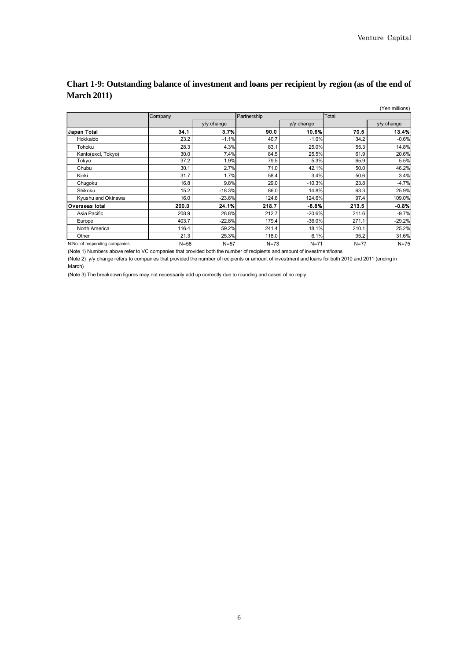|                               |          |            |             |            |        | (Yen millions) |
|-------------------------------|----------|------------|-------------|------------|--------|----------------|
|                               | Company  |            | Partnership |            | Total  |                |
|                               |          | y/y change |             | y/y change |        | y/y change     |
| Japan Total                   | 34.1     | 3.7%       | 90.0        | 10.6%      | 70.5   | 13.4%          |
| Hokkaido                      | 23.2     | $-1.1%$    | 40.7        | $-1.0%$    | 34.2   | $-0.6%$        |
| Tohoku                        | 28.3     | 4.3%       | 83.1        | 25.0%      | 55.3   | 14.8%          |
| Kanto(excl, Tokyo)            | 30.0     | 7.4%       | 84.5        | 25.5%      | 61.9   | 20.6%          |
| Tokyo                         | 37.2     | 1.9%       | 79.5        | 5.3%       | 65.9   | 5.5%           |
| Chubu                         | 30.1     | 2.7%       | 71.0        | 42.1%      | 50.0   | 46.2%          |
| Kinki                         | 31.7     | 1.7%       | 58.4        | 3.4%       | 50.6   | 3.4%           |
| Chugoku                       | 16.8     | 9.8%       | 29.0        | $-10.3%$   | 23.8   | $-4.7%$        |
| Shikoku                       | 15.2     | $-18.3%$   | 86.0        | 14.8%      | 63.3   | 25.9%          |
| Kyushu and Okinawa            | 16.0     | $-23.6%$   | 124.6       | 124.6%     | 97.4   | 109.0%         |
| lOverseas total               | 200.0    | 24.1%      | 218.7       | $-8.8%$    | 213.5  | $-0.8%$        |
| Asia Pacific                  | 208.9    | 28.8%      | 212.7       | $-20.6%$   | 211.6  | $-9.7%$        |
| Europe                        | 403.7    | $-22.8%$   | 179.4       | $-36.0%$   | 271.1  | $-29.2%$       |
| North America                 | 116.4    | 59.2%      | 241.4       | 18.1%      | 210.1  | 25.2%          |
| Other                         | 21.3     | 25.3%      | 118.0       | 6.1%       | 95.2   | 31.6%          |
| N:No. of responding companies | $N = 58$ | $N=57$     | $N=73$      | $N=71$     | $N=77$ | $N=75$         |

# **Chart 1-9: Outstanding balance of investment and loans per recipient by region (as of the end of March 2011)**

(Note 1) Numbers above refer to VC companies that provided both the number of recipients and amount of investment/loans

(Note 2) y/y change refers to companies that provided the number of recipients or amount of investment and loans for both 2010 and 2011 (ending in March)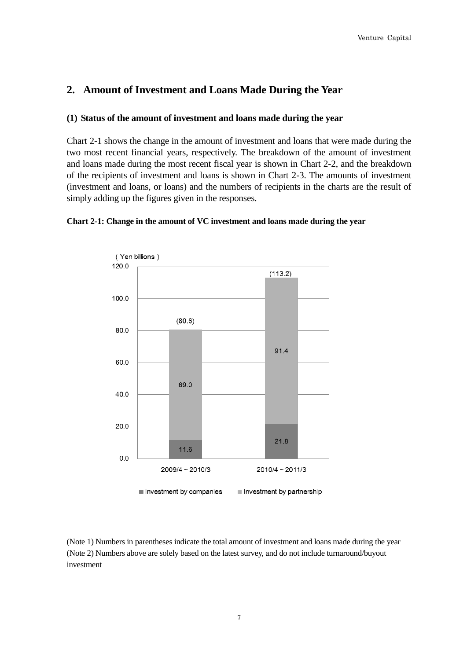# <span id="page-11-0"></span>**2. Amount of Investment and Loans Made During the Year**

# <span id="page-11-1"></span>**(1) Status of the amount of investment and loans made during the year**

Chart 2-1 shows the change in the amount of investment and loans that were made during the two most recent financial years, respectively. The breakdown of the amount of investment and loans made during the most recent fiscal year is shown in Chart 2-2, and the breakdown of the recipients of investment and loans is shown in Chart 2-3. The amounts of investment (investment and loans, or loans) and the numbers of recipients in the charts are the result of simply adding up the figures given in the responses.



#### **Chart 2-1: Change in the amount of VC investment and loans made during the year**

(Note 1) Numbers in parentheses indicate the total amount of investment and loans made during the year (Note 2) Numbers above are solely based on the latest survey, and do not include turnaround/buyout investment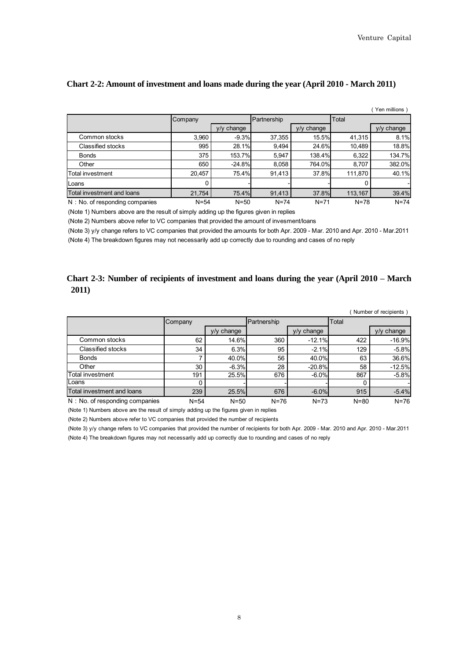|                                   |          |              |             |              |          | (Yen millions) |
|-----------------------------------|----------|--------------|-------------|--------------|----------|----------------|
|                                   | Company  |              | Partnership |              | Total    |                |
|                                   |          | $V/V$ change |             | $v/v$ change |          | y/y change     |
| Common stocks                     | 3,960    | $-9.3%$      | 37,355      | 15.5%        | 41,315   | 8.1%           |
| Classified stocks                 | 995      | 28.1%        | 9,494       | 24.6%        | 10,489   | 18.8%          |
| <b>Bonds</b>                      | 375      | 153.7%       | 5,947       | 138.4%       | 6,322    | 134.7%         |
| Other                             | 650      | $-24.8%$     | 8,058       | 764.0%       | 8,707    | 382.0%         |
| Total investment                  | 20,457   | 75.4%        | 91,413      | 37.8%        | 111,870  | 40.1%          |
| Loans                             | 0        |              |             |              |          |                |
| Total investment and loans        | 21,754   | 75.4%        | 91,413      | 37.8%        | 113,167  | 39.4%          |
| $N : No.$ of responding companies | $N = 54$ | $N = 50$     | $N = 74$    | $N = 71$     | $N = 78$ | $N = 74$       |

#### **Chart 2-2: Amount of investment and loans made during the year (April 2010 - March 2011)**

(Note 1) Numbers above are the result of simply adding up the figures given in replies

(Note 2) Numbers above refer to VC companies that provided the amount of invesment/loans

(Note 3) y/y change refers to VC companies that provided the amounts for both Apr. 2009 - Mar. 2010 and Apr. 2010 - Mar.2011

(Note 4) The breakdown figures may not necessarily add up correctly due to rounding and cases of no reply

#### **Chart 2-3: Number of recipients of investment and loans during the year (April 2010 – March 2011)**

|                                   |          |               |             |              |          | Number of recipients) |
|-----------------------------------|----------|---------------|-------------|--------------|----------|-----------------------|
|                                   | Company  |               | Partnership |              | Total    |                       |
|                                   |          | change<br>V/V |             | $V/V$ change |          | $y/y$ change          |
| Common stocks                     | 62       | 14.6%         | 360         | $-12.1%$     | 422      | $-16.9%$              |
| Classified stocks                 | 34       | 6.3%          | 95          | $-2.1%$      | 129      | $-5.8%$               |
| <b>Bonds</b>                      |          | 40.0%         | 56          | 40.0%        | 63       | 36.6%                 |
| Other                             | 30       | $-6.3%$       | 28          | $-20.8%$     | 58       | $-12.5%$              |
| lTotal investment                 | 191      | 25.5%         | 676         | $-6.0%$      | 867      | $-5.8%$               |
| <b>ILoans</b>                     |          |               |             |              |          |                       |
| Total investment and loans        | 239      | 25.5%         | 676         | $-6.0%$      | 915      | $-5.4%$               |
| $N : No.$ of responding companies | $N = 54$ | $N = 50$      | $N = 76$    | $N = 73$     | $N = 80$ | $N=76$                |

(Note 1) Numbers above are the result of simply adding up the figures given in replies

(Note 2) Numbers above refer to VC companies that provided the number of recipients

(Note 3) y/y change refers to VC companies that provided the number of recipients for both Apr. 2009 - Mar. 2010 and Apr. 2010 - Mar.2011 (Note 4) The breakdown figures may not necessarily add up correctly due to rounding and cases of no reply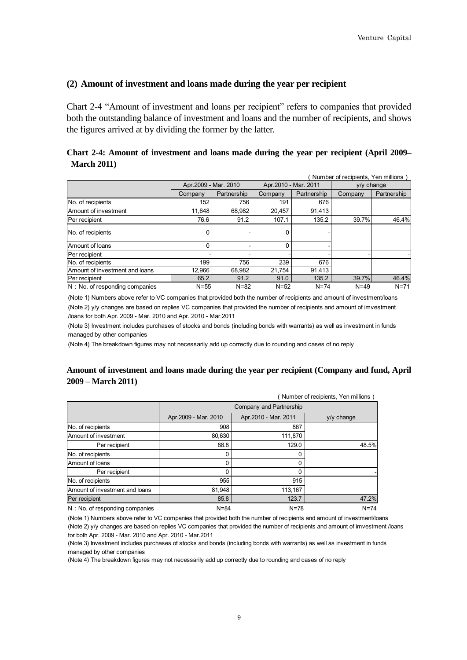#### <span id="page-13-0"></span>**(2) Amount of investment and loans made during the year per recipient**

Chart 2-4 "Amount of investment and loans per recipient" refers to companies that provided both the outstanding balance of investment and loans and the number of recipients, and shows the figures arrived at by dividing the former by the latter.

#### **Chart 2-4: Amount of investment and loans made during the year per recipient (April 2009– March 2011)**

| Number of recipients, Yen millions |                      |             |                      |             |              |             |
|------------------------------------|----------------------|-------------|----------------------|-------------|--------------|-------------|
|                                    | Apr.2009 - Mar. 2010 |             | Apr.2010 - Mar. 2011 |             | $v/v$ change |             |
|                                    | Company              | Partnership | Company              | Partnership | Company      | Partnership |
| No. of recipients                  | 152                  | 756         | 191                  | 676         |              |             |
| Amount of investment               | 11.648               | 68.982      | 20.457               | 91.413      |              |             |
| Per recipient                      | 76.6                 | 91.2        | 107.1                | 135.2       | 39.7%        | 46.4%       |
| No. of recipients                  | 0                    |             | 0                    |             |              |             |
| Amount of Ioans                    | 0                    |             | $\Omega$             |             |              |             |
| Per recipient                      |                      |             |                      |             |              |             |
| No. of recipients                  | 199                  | 756         | 239                  | 676         |              |             |
| Amount of investment and loans     | 12.966               | 68.982      | 21.754               | 91.413      |              |             |
| Per recipient                      | 65.2                 | 91.2        | 91.0                 | 135.2       | 39.7%        | 46.4%       |
| $N : No.$ of responding companies  | $N = 55$             | $N = 82$    | $N=52$               | $N = 74$    | $N = 49$     | $N = 71$    |

(Note 1) Numbers above refer to VC companies that provided both the number of recipients and amount of investment/loans (Note 2) y/y changes are based on replies VC companies that provided the number of recipients and amount of imvestment /loans for both Apr. 2009 - Mar. 2010 and Apr. 2010 - Mar.2011

(Note 3) Investment includes purchases of stocks and bonds (including bonds with warrants) as well as investment in funds managed by other companies

(Note 4) The breakdown figures may not necessarily add up correctly due to rounding and cases of no reply

#### **Amount of investment and loans made during the year per recipient (Company and fund, April 2009 – March 2011)**

| Number of recipients, Yen millions) |                      |                         |              |  |  |  |  |  |
|-------------------------------------|----------------------|-------------------------|--------------|--|--|--|--|--|
|                                     |                      | Company and Partnership |              |  |  |  |  |  |
|                                     | Apr.2009 - Mar. 2010 | Apr.2010 - Mar. 2011    | $y/y$ change |  |  |  |  |  |
| No. of recipients                   | 908                  | 867                     |              |  |  |  |  |  |
| Amount of investment                | 80,630               | 111,870                 |              |  |  |  |  |  |
| Per recipient                       | 88.8                 | 129.0                   | 48.5%        |  |  |  |  |  |
| No. of recipients                   | 0                    | 0                       |              |  |  |  |  |  |
| Amount of loans                     | 0                    | 0                       |              |  |  |  |  |  |
| Per recipient                       | 0                    | 0                       |              |  |  |  |  |  |
| No. of recipients                   | 955                  | 915                     |              |  |  |  |  |  |
| Amount of investment and loans      | 81,948               | 113,167                 |              |  |  |  |  |  |
| Per recipient                       | 85.8                 | 123.7                   | 47.2%        |  |  |  |  |  |
| $N : No.$ of responding companies   | $N = 84$             | $N = 78$                | $N = 74$     |  |  |  |  |  |

(Note 1) Numbers above refer to VC companies that provided both the number of recipients and amount of investment/loans (Note 2) y/y changes are based on replies VC companies that provided the number of recipients and amount of imvestment /loans for both Apr. 2009 - Mar. 2010 and Apr. 2010 - Mar.2011

(Note 3) Investment includes purchases of stocks and bonds (including bonds with warrants) as well as investment in funds managed by other companies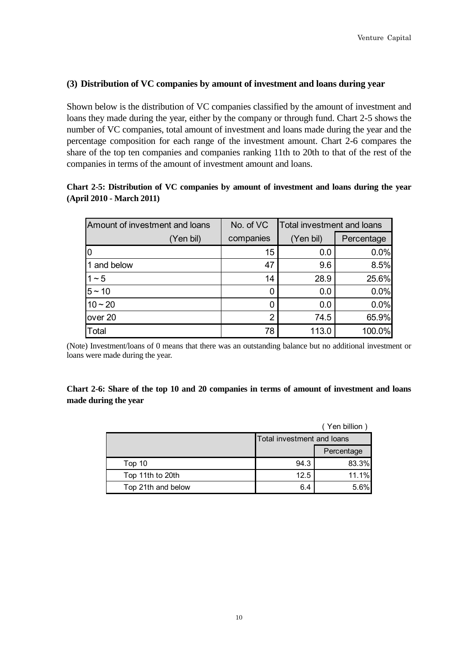## <span id="page-14-0"></span>**(3) Distribution of VC companies by amount of investment and loans during year**

Shown below is the distribution of VC companies classified by the amount of investment and loans they made during the year, either by the company or through fund. Chart 2-5 shows the number of VC companies, total amount of investment and loans made during the year and the percentage composition for each range of the investment amount. Chart 2-6 compares the share of the top ten companies and companies ranking 11th to 20th to that of the rest of the companies in terms of the amount of investment amount and loans.

# **Chart 2-5: Distribution of VC companies by amount of investment and loans during the year (April 2010 - March 2011)**

| Amount of investment and loans | No. of VC | Total investment and loans |            |  |
|--------------------------------|-----------|----------------------------|------------|--|
| (Yen bil)                      | companies | (Yen bil)                  | Percentage |  |
| 10                             | 15        | 0.0                        | 0.0%       |  |
| 1 and below                    | 47        | 9.6                        | 8.5%       |  |
| $1 - 5$                        | 14        | 28.9                       | 25.6%      |  |
| $5 - 10$                       |           | 0.0                        | 0.0%       |  |
| $10 - 20$                      |           | 0.0                        | 0.0%       |  |
| over 20                        | 2         | 74.5                       | 65.9%      |  |
| Total                          | 78        | 113.0                      | 100.0%     |  |

(Note) Investment/loans of 0 means that there was an outstanding balance but no additional investment or loans were made during the year.

## **Chart 2-6: Share of the top 10 and 20 companies in terms of amount of investment and loans made during the year**

|                    |                            | (Yen billion |  |
|--------------------|----------------------------|--------------|--|
|                    | Total investment and loans |              |  |
|                    |                            | Percentage   |  |
| Top 10             | 94.3                       | 83.3%        |  |
| Top 11th to 20th   | 12.5                       | 11.1%        |  |
| Top 21th and below | 6.4                        | 5.6%         |  |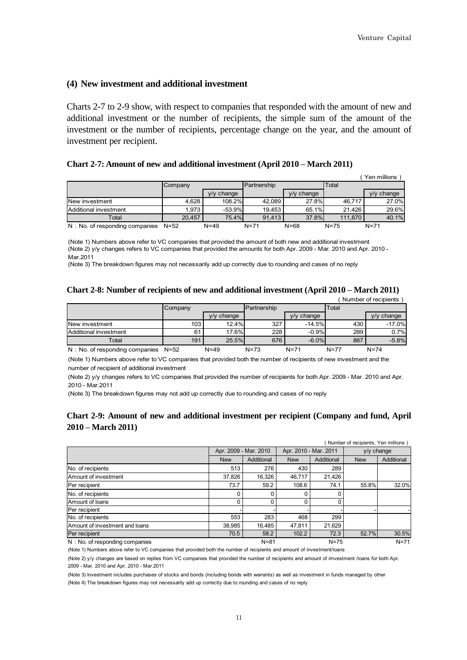#### <span id="page-15-0"></span>**(4) New investment and additional investment**

Charts 2-7 to 2-9 show, with respect to companies that responded with the amount of new and additional investment or the number of recipients, the simple sum of the amount of the investment or the number of recipients, percentage change on the year, and the amount of investment per recipient.

#### **Chart 2-7: Amount of new and additional investment (April 2010 – March 2011)**

|                                |          |               |             |              |          | Yen millions |
|--------------------------------|----------|---------------|-------------|--------------|----------|--------------|
|                                | Company  |               | Partnership |              | Total    |              |
|                                |          | change<br>V/V |             | $y/y$ change |          | $y/y$ change |
| New investment                 | 4.628    | 108.2%        | 42.089      | 27.8%        | 46.717   | 27.0%        |
| Additional investment          | 1.973    | $-53.9%$      | 19.453      | 65.1%        | 21.426   | 29.6%        |
| Total                          | 20.457   | 75.4%         | 91.413      | 37.8%        | 111.870  | 40.1%        |
| N: No. of responding companies | $N = 52$ | $N=49$        | $N = 71$    | $N = 68$     | $N = 75$ | $N = 71$     |

(Note 1) Numbers above refer to VC companies that provided the amount of both new and additional investment (Note 2) y/y changes refers to VC companies that provided the amounts for both Apr. 2009 - Mar. 2010 and Apr. 2010 - Mar.2011

(Note 3) The breakdown figures may not necessarily add up correctly due to rounding and cases of no reply

#### **Chart 2-8: Number of recipients of new and additional investment (April 2010 – March 2011)**  (Number of recipients)

|                                |          |               |             |              |          | <b>NUMBER OF LECTORIES</b> |
|--------------------------------|----------|---------------|-------------|--------------|----------|----------------------------|
|                                | Company  |               | Partnership |              | Total    |                            |
|                                |          | change<br>V/V |             | $V/V$ change |          | $v/v$ change               |
| New investment                 | 103      | 12.4%         | 327         | $-14.5%$     | 430      | $-17.0%$                   |
| Additional investment          | 61       | 17.6%         | 228         | $-0.9%$      | 289      | 0.7%                       |
| Total                          | 191      | 25.5%         | 676         | $-6.0%$      | 867      | $-5.8%$                    |
| N: No. of responding companies | $N = 52$ | $N = 49$      | $N = 73$    | $N = 71$     | $N = 77$ | $N = 74$                   |

(Note 1) Numbers above refer to VC companies that provided both the number of recipients of new investment and the number of recipient of additional investment

(Note 2) y/y changes refers to VC companies that provided the number of recipients for both Apr. 2009 - Mar. 2010 and Apr. 2010 - Mar.2011

(Note 3) The breakdown figures may not add up correctly due to rounding and cases of no reply

#### **Chart 2-9: Amount of new and additional investment per recipient (Company and fund, April 2010 – March 2011)**

| Number of recipients, Yen millions |            |                       |                       |            |            |              |
|------------------------------------|------------|-----------------------|-----------------------|------------|------------|--------------|
|                                    |            | Apr. 2009 - Mar. 2010 | Apr. 2010 - Mar. 2011 |            |            | $v/v$ change |
|                                    | <b>New</b> | Additional            | <b>New</b>            | Additional | <b>New</b> | Additional   |
| No. of recipients                  | 513        | 276                   | 430                   | 289        |            |              |
| Amount of investment               | 37,826     | 16,326                | 46.717                | 21,426     |            |              |
| Per recipient                      | 73.7       | 59.2                  | 108.6                 | 74.1       | 55.8%      | 32.0%        |
| No. of recipients                  |            | 0                     |                       |            |            |              |
| Amount of loans                    |            | 0                     |                       |            |            |              |
| Per recipient                      |            |                       |                       |            |            |              |
| No. of recipients                  | 553        | 283                   | 468                   | 299        |            |              |
| Amount of investment and loans     | 38,985     | 16.485                | 47.811                | 21,629     |            |              |
| Per recipient                      | 70.5       | 58.2                  | 102.2                 | 72.3       | 52.7%      | 30.5%        |
| N: No. of responding companies     |            | $N = 81$              |                       | $N = 75$   |            | $N = 71$     |

(Note 1) Numbers above refer to VC companies that provided both the number of recipients and amount of investment/loans

(Note 2) y/y changes are based on replies from VC companies that provided the number of recipients and amount of imvestment /loans for both Apr. 2009 - Mar. 2010 and Apr. 2010 - Mar.2011

(Note 3) Investment includes purchases of stocks and bonds (including bonds with warrants) as well as investment in funds managed by other (Note 4) The breakdown figures may not necessarily add up correctly due to rounding and cases of no reply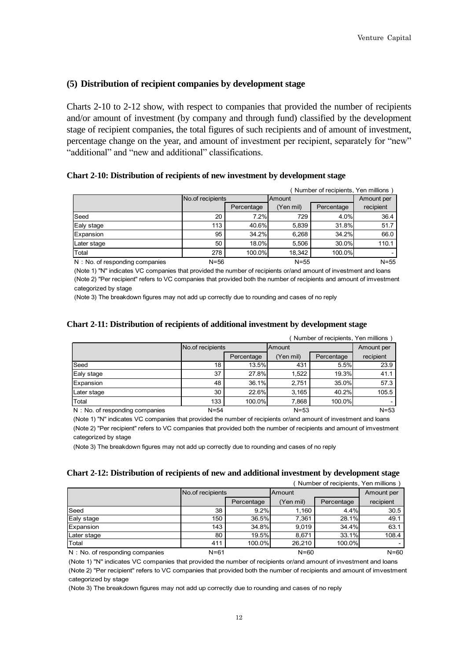#### <span id="page-16-0"></span>**(5) Distribution of recipient companies by development stage**

Charts 2-10 to 2-12 show, with respect to companies that provided the number of recipients and/or amount of investment (by company and through fund) classified by the development stage of recipient companies, the total figures of such recipients and of amount of investment, percentage change on the year, and amount of investment per recipient, separately for "new" "additional" and "new and additional" classifications.

#### **Chart 2-10: Distribution of recipients of new investment by development stage**

| Number of recipients, Yen millions |          |                  |          |            |           |  |
|------------------------------------|----------|------------------|----------|------------|-----------|--|
|                                    |          | No of recipients |          | Amount     |           |  |
|                                    |          | Percentage       | Yen mil) | Percentage | recipient |  |
| Seed                               | 20       | 7.2%             | 729      | 4.0%       | 36.4      |  |
| Ealy stage                         | 113      | 40.6%            | 5,839    | 31.8%      | 51.7      |  |
| Expansion                          | 95       | 34.2%            | 6.268    | 34.2%      | 66.0      |  |
| Later stage                        | 50       | 18.0%            | 5.506    | 30.0%      | 110.1     |  |
| Total                              | 278      | 100.0%           | 18.342   | 100.0%     |           |  |
| N: No. of responding companies     | $N = 56$ |                  | $N = 55$ |            | $N = 55$  |  |

(Note 1) "N" indicates VC companies that provided the number of recipients or/and amount of investment and loans (Note 2) "Per recipient" refers to VC companies that provided both the number of recipients and amount of imvestment categorized by stage

(Note 3) The breakdown figures may not add up correctly due to rounding and cases of no reply

#### **Chart 2-11: Distribution of recipients of additional investment by development stage**

| Number of recipients, Yen millions |          |                  |           |            |           |  |
|------------------------------------|----------|------------------|-----------|------------|-----------|--|
|                                    |          | No.of recipients |           | Amount     |           |  |
|                                    |          | Percentage       | (Yen mil) | Percentage | recipient |  |
| Seed                               | 18       | 13.5%            | 431       | 5.5%       | 23.9      |  |
| Ealy stage                         | 37       | 27.8%            | 1,522     | 19.3%      | 41.1      |  |
| Expansion                          | 48       | 36.1%            | 2.751     | 35.0%      | 57.3      |  |
| Later stage                        | 30       | 22.6%            | 3.165     | 40.2%      | 105.5     |  |
| Total                              | 133      | 100.0%           | 7,868     | 100.0%     |           |  |
| $N : No.$ of responding companies  | $N = 54$ |                  | $N = 53$  |            | $N = 53$  |  |

(Note 1) "N" indicates VC companies that provided the number of recipients or/and amount of investment and loans (Note 2) "Per recipient" refers to VC companies that provided both the number of recipients and amount of imvestment categorized by stage

(Note 3) The breakdown figures may not add up correctly due to rounding and cases of no reply

#### **Chart 2-12: Distribution of recipients of new and additional investment by development stage**

|                                   | Number of recipients, Yen millions |                  |           |            |           |  |
|-----------------------------------|------------------------------------|------------------|-----------|------------|-----------|--|
|                                   |                                    | No.of recipients |           | Amount     |           |  |
|                                   |                                    | Percentage       | (Yen mil) | Percentage | recipient |  |
| Seed                              | 38                                 | 9.2%             | 1.160     | 4.4%       | 30.5      |  |
| Ealy stage                        | 150                                | 36.5%            | 7.361     | 28.1%      | 49.1      |  |
| Expansion                         | 143                                | 34.8%            | 9.019     | 34.4%      | 63.1      |  |
| Later stage                       | 80                                 | $19.5\%$         | 8.671     | 33.1%      | 108.4     |  |
| Total                             | 411                                | 100.0%           | 26.210    | 100.0%     |           |  |
| $N : No.$ of responding companies | $N = 61$                           |                  | $N = 60$  |            | $N = 60$  |  |

(Note 1) "N" indicates VC companies that provided the number of recipients or/and amount of investment and loans (Note 2) "Per recipient" refers to VC companies that provided both the number of recipients and amount of imvestment categorized by stage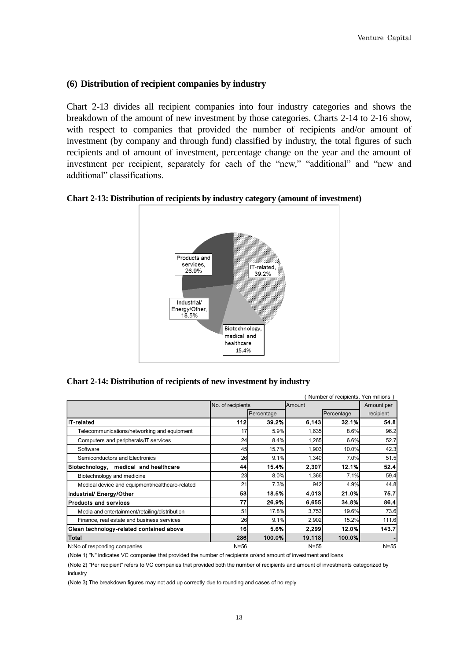## <span id="page-17-0"></span>**(6) Distribution of recipient companies by industry**

Chart 2-13 divides all recipient companies into four industry categories and shows the breakdown of the amount of new investment by those categories. Charts 2-14 to 2-16 show, with respect to companies that provided the number of recipients and/or amount of investment (by company and through fund) classified by industry, the total figures of such recipients and of amount of investment, percentage change on the year and the amount of investment per recipient, separately for each of the "new," "additional" and "new and additional" classifications.

**Chart 2-13: Distribution of recipients by industry category (amount of investment)** 



#### **Chart 2-14: Distribution of recipients of new investment by industry**

|                                                 |                   |            |               | Number of recipients, Yen millions ) |            |
|-------------------------------------------------|-------------------|------------|---------------|--------------------------------------|------------|
|                                                 | No. of recipients |            | <b>Amount</b> |                                      | Amount per |
|                                                 |                   | Percentage |               | Percentage                           | recipient  |
| <b>IT-related</b>                               | <b>1121</b>       | 39.2%      | 6,143         | 32.1%                                | 54 8       |
| Telecommunications/networking and equipment     | 17                | 5.9%       | 1,635         | 8.6%                                 | 96.2       |
| Computers and peripherals/IT services           | 24                | 8.4%       | 1,265         | 6.6%                                 | 52.7       |
| Software                                        | 45                | 15.7%      | 1,903         | 10.0%                                | 42.3       |
| Semiconductors and Electronics                  | 26                | 9.1%       | 1,340         | 7.0%                                 | 51.5       |
| Biotechnology, medical and healthcare           | 44                | 15.4%      | 2,307         | 12.1%                                | 52.4       |
| Biotechnology and medicine                      | 23                | 8.0%       | 1.366         | 7.1%                                 | 59.4       |
| Medical device and equipment/healthcare-related | 21                | 7.3%       | 942           | 4.9%                                 | 44.8       |
| Industrial/ Energy/Other                        | 53                | 18.5%      | 4,013         | 21.0%                                | 75.7       |
| <b>Products and services</b>                    | 77                | 26.9%      | 6,655         | 34.8%                                | 86.4       |
| Media and entertainment/retailing/distribution  | 51                | 17.8%      | 3,753         | 19.6%                                | 73.6       |
| Finance, real estate and business services      | 26                | 9.1%       | 2,902         | 15.2%                                | 111.6      |
| Clean technology-related contained above        | 16I               | 5.6%       | 2,299         | 12.0%                                | 143.7      |
| Total                                           | 286               | 100.0%     | 19,118        | 100.0%                               |            |
| N:No.of responding companies                    | $N = 56$          |            | $N = 55$      |                                      | $N = 55$   |

(Note 1) "N" indicates VC companies that provided the number of recipients or/and amount of investment and loans

(Note 2) "Per recipient" refers to VC companies that provided both the number of recipients and amount of investments categorized by industry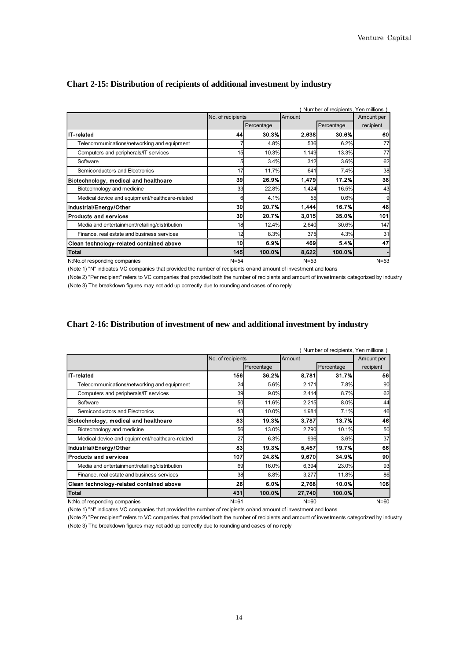|                                                 |                   |            |          | Number of recipients, Yen millions |            |
|-------------------------------------------------|-------------------|------------|----------|------------------------------------|------------|
|                                                 | No. of recipients |            | Amount   |                                    | Amount per |
|                                                 |                   | Percentage |          | Percentage                         | recipient  |
| IT-related                                      | 44                | 30.3%      | 2,638    | 30.6%                              | 60         |
| Telecommunications/networking and equipment     |                   | 4.8%       | 536      | 6.2%                               | 77         |
| Computers and peripherals/IT services           | 15                | 10.3%      | 1,149    | 13.3%                              | 77         |
| Software                                        | 5                 | 3.4%       | 312      | 3.6%                               | 62         |
| Semiconductors and Electronics                  | 17                | 11.7%      | 641      | 7.4%                               | 38         |
| Biotechnology, medical and healthcare           | 39                | 26.9%      | 1,479    | 17.2%                              | 38         |
| Biotechnology and medicine                      | 33                | 22.8%      | 1,424    | 16.5%                              | 43         |
| Medical device and equipment/healthcare-related | 6                 | 4.1%       | 55       | 0.6%                               | 9          |
| Industrial/Energy/Other                         | 30                | 20.7%      | 1,444    | 16.7%                              | 48         |
| <b>Products and services</b>                    | 30                | 20.7%      | 3,015    | 35.0%                              | 101        |
| Media and entertainment/retailing/distribution  | 18                | 12.4%      | 2,640    | 30.6%                              | 147        |
| Finance, real estate and business services      | 12                | 8.3%       | 375      | 4.3%                               | 31         |
| Clean technology-related contained above        | 10                | 6.9%       | 469      | 5.4%                               | 47         |
| <b>Total</b>                                    | 145               | 100.0%     | 8,622    | 100.0%                             |            |
| N:No.of responding companies                    | $N = 54$          |            | $N = 53$ |                                    | $N = 53$   |

#### **Chart 2-15: Distribution of recipients of additional investment by industry**

(Note 1) "N" indicates VC companies that provided the number of recipients or/and amount of investment and loans

(Note 2) "Per recipient" refers to VC companies that provided both the number of recipients and amount of investments categorized by industry (Note 3) The breakdown figures may not add up correctly due to rounding and cases of no reply

#### **Chart 2-16: Distribution of investment of new and additional investment by industry**

|                                                 | No. of recipients | Number of recipients, Yen millions)<br>Amount |          |            |                         |  |
|-------------------------------------------------|-------------------|-----------------------------------------------|----------|------------|-------------------------|--|
|                                                 |                   | Percentage                                    |          | Percentage | Amount per<br>recipient |  |
| <b>IT-related</b>                               | <b>156</b>        | 36.2%                                         | 8,781    | 31.7%      | 56                      |  |
| Telecommunications/networking and equipment     | 24                | 5.6%                                          | 2,171    | 7.8%       | 90                      |  |
| Computers and peripherals/IT services           | 39                | 9.0%                                          | 2,414    | 8.7%       | 62                      |  |
| Software                                        | 50                | 11.6%                                         | 2,215    | 8.0%       | 44                      |  |
| Semiconductors and Electronics                  | 43                | 10.0%                                         | 1,981    | 7.1%       | 46                      |  |
| Biotechnology, medical and healthcare           | 83                | 19.3%                                         | 3,787    | 13.7%      | 46                      |  |
| Biotechnology and medicine                      | 56                | 13.0%                                         | 2,790    | 10.1%      | 50                      |  |
| Medical device and equipment/healthcare-related | 27                | 6.3%                                          | 996      | 3.6%       | 37                      |  |
| Industrial/Energy/Other                         | 83                | 19.3%                                         | 5,457    | 19.7%      | 66                      |  |
| <b>Products and services</b>                    | 107               | 24.8%                                         | 9.670    | 34.9%      | 90                      |  |
| Media and entertainment/retailing/distribution  | 69                | 16.0%                                         | 6,394    | 23.0%      | 93                      |  |
| Finance, real estate and business services      | 38                | 8.8%                                          | 3,277    | 11.8%      | 86                      |  |
| Clean technology-related contained above        | 26                | 6.0%                                          | 2,768    | 10.0%      | 106                     |  |
| <b>Total</b>                                    | 431               | 100.0%                                        | 27,740   | 100.0%     |                         |  |
| N:No.of responding companies                    | $N = 61$          |                                               | $N = 60$ |            | $N=60$                  |  |

(Note 1) "N" indicates VC companies that provided the number of recipients or/and amount of investment and loans

(Note 2) "Per recipient" refers to VC companies that provided both the number of recipients and amount of investments categorized by industry (Note 3) The breakdown figures may not add up correctly due to rounding and cases of no reply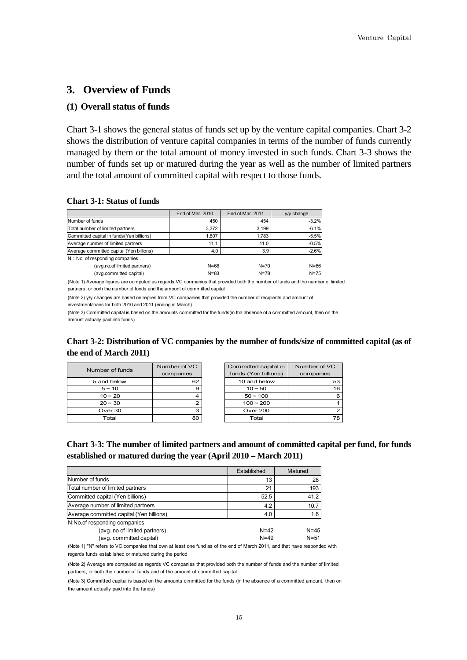# <span id="page-19-0"></span>**3. Overview of Funds**

#### <span id="page-19-1"></span>**(1) Overall status of funds**

Chart 3-1 shows the general status of funds set up by the venture capital companies. Chart 3-2 shows the distribution of venture capital companies in terms of the number of funds currently managed by them or the total amount of money invested in such funds. Chart 3-3 shows the number of funds set up or matured during the year as well as the number of limited partners and the total amount of committed capital with respect to those funds.

#### **Chart 3-1: Status of funds**

|                                           | End of Mar. 2010 | End of Mar. 2011 | $y/y$ change |
|-------------------------------------------|------------------|------------------|--------------|
| Number of funds                           | 450              | 454              | $-3.2%$      |
| Total number of limited partners          | 3.372            | 3.199            | $-6.1%$      |
| Committed capital in funds (Yen billions) | 1.807            | 1.783            | $-5.5%$      |
| Average number of limited partners        | 11.1             | 11.0             | $-0.5%$      |
| Average committed capital (Yen billions)  | 4.0              | 3.9              | $-2.6%$      |
| N: No. of responding companies            |                  |                  |              |
| (avg.no.of limited partners)              | $N = 68$         | $N = 70$         | $N = 66$     |

(Note 1) Average figures are computed as regards VC companies that provided both the number of funds and the number of limited partners, or borh the number of funds and the amount of committed capital

(Note 2) y/y changes are based on replies from VC companies that provided the number of recipients and amount of

investment/loans for both 2010 and 2011 (ending in March)

(avg.committed capital)

(Note 3) Committed capital is based on the amounts committed for the funds(in tha absence of a committed amount, then on the amount actually paid into funds)

| Chart 3-2: Distribution of VC companies by the number of funds/size of committed capital (as of |  |
|-------------------------------------------------------------------------------------------------|--|
| the end of March 2011)                                                                          |  |

N=83 N=78 N=75

| Number of funds | Number of VC | Committed capital in | Number of VC |
|-----------------|--------------|----------------------|--------------|
|                 | companies    | funds (Yen billions) | companies    |
| 5 and below     | 62           | 10 and below         | 53           |
| $5 - 10$        | 9            | $10 - 50$            | 16           |
| $10 - 20$       |              | $50 - 100$           | 6            |
| $20 - 30$       |              | $100 - 200$          |              |
| Over 30         | з            | <b>Over 200</b>      |              |
| Total           | 80           | Total                | 78           |

| Chart 3-3: The number of limited partners and amount of committed capital per fund, for funds |
|-----------------------------------------------------------------------------------------------|
| established or matured during the year (April 2010 – March 2011)                              |

|                                                           | Established          | Matured              |
|-----------------------------------------------------------|----------------------|----------------------|
| Number of funds                                           | 13                   | 28                   |
| Total number of limited partners                          | 21                   | 193                  |
| Committed capital (Yen billions)                          | 52.5                 | 41.2                 |
| Average number of limited partners                        | 4.2                  | 10.7                 |
| Average committed capital (Yen billions)                  | 4.0                  | 1.6                  |
| N:No.of responding companies                              |                      |                      |
| (avg. no of limited partners)<br>(avg. committed capital) | $N = 42$<br>$N = 49$ | $N = 45$<br>$N = 51$ |

(Note 1) "N" refers to VC companies that own at least one fund as of the end of March 2011, and that have responded with regards funds established or matured during the period

(Note 2) Average are computed as regards VC companies that provided both the number of funds and the number of limited partners, or both the number of funds and of the amount of committed capital

(Note 3) Committed capital is based on the amounts cimmitted for the funds (in the absence of a committed amount, then on the amount actually paid into the funds)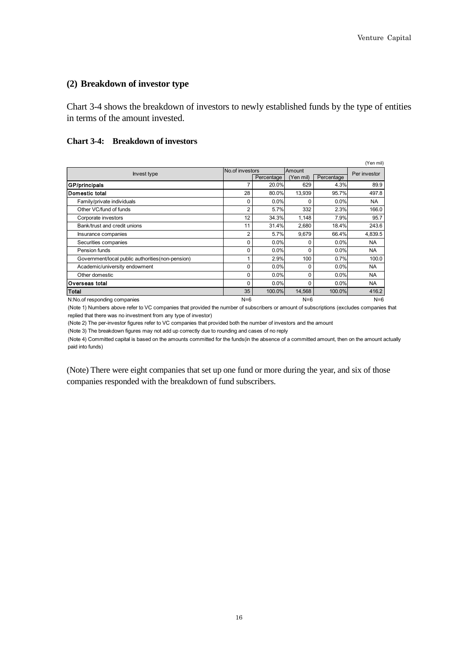#### <span id="page-20-0"></span>**(2) Breakdown of investor type**

Chart 3-4 shows the breakdown of investors to newly established funds by the type of entities in terms of the amount invested.

#### **Chart 3-4: Breakdown of investors**

|                                                   | No.of investors |            | Amount    |            | (Yen mil)    |
|---------------------------------------------------|-----------------|------------|-----------|------------|--------------|
| Invest type                                       |                 | Percentage | (Yen mil) | Percentage | Per investor |
| <b>GP/principals</b>                              | 7               | 20.0%      | 629       | 4.3%       | 89.9         |
| Domestic total                                    | 28              | 80.0%      | 13,939    | 95.7%      | 497.8        |
| Family/private individuals                        | 0               | 0.0%       |           | 0.0%       | <b>NA</b>    |
| Other VC/fund of funds                            | 2               | 5.7%       | 332       | 2.3%       | 166.0        |
| Corporate investors                               | 12              | 34.3%      | 1,148     | 7.9%       | 95.7         |
| Bank/trust and credit unions                      | 11              | 31.4%      | 2,680     | 18.4%      | 243.6        |
| Insurance companies                               | 2               | 5.7%       | 9,679     | 66.4%      | 4,839.5      |
| Securities companies                              | 0               | 0.0%       | O         | 0.0%       | <b>NA</b>    |
| Pension funds                                     | 0               | 0.0%       | O         | 0.0%       | <b>NA</b>    |
| Government/local public authorities (non-pension) |                 | 2.9%       | 100       | 0.7%       | 100.0        |
| Academic/university endowment                     | 0               | 0.0%       | 0         | 0.0%       | <b>NA</b>    |
| Other domestic                                    | 0               | 0.0%       | 0         | 0.0%       | <b>NA</b>    |
| Overseas total                                    | 0               | 0.0%       | O         | 0.0%       | <b>NA</b>    |
| Total                                             | 35              | 100.0%     | 14.568    | 100.0%     | 416.2        |
| N:No.of responding companies                      | $N=6$           |            | $N=6$     |            | $N=6$        |

(Note 1) Numbers above refer to VC companies that provided the number of subscribers or amount of subscriptions (excludes companies that replied that there was no investment from any type of investor)

(Note 2) The per-investor figures refer to VC companies that provided both the number of investors and the amount

(Note 3) The breakdown figures may not add up correctly due to rounding and cases of no reply

(Note 4) Committed capital is based on the amounts committed for the funds(in the absence of a committed amount, then on the amount actually paid into funds)

(Note) There were eight companies that set up one fund or more during the year, and six of those companies responded with the breakdown of fund subscribers.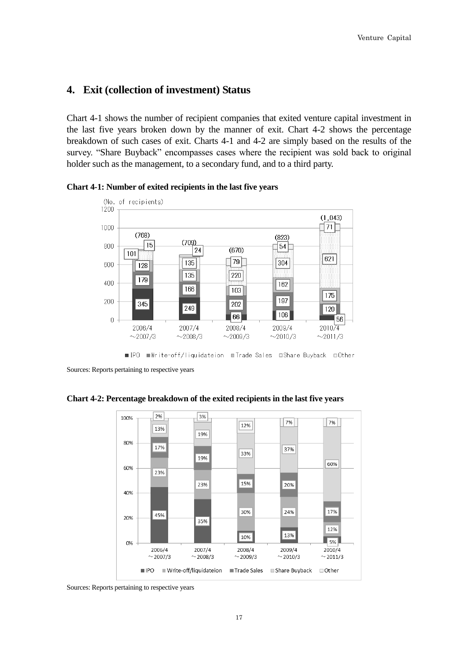# <span id="page-21-0"></span>**4. Exit (collection of investment) Status**

Chart 4-1 shows the number of recipient companies that exited venture capital investment in the last five years broken down by the manner of exit. Chart 4-2 shows the percentage breakdown of such cases of exit. Charts 4-1 and 4-2 are simply based on the results of the survey. "Share Buyback" encompasses cases where the recipient was sold back to original holder such as the management, to a secondary fund, and to a third party.





Sources: Reports pertaining to respective years

**Chart 4-2: Percentage breakdown of the exited recipients in the last five years** 



Sources: Reports pertaining to respective years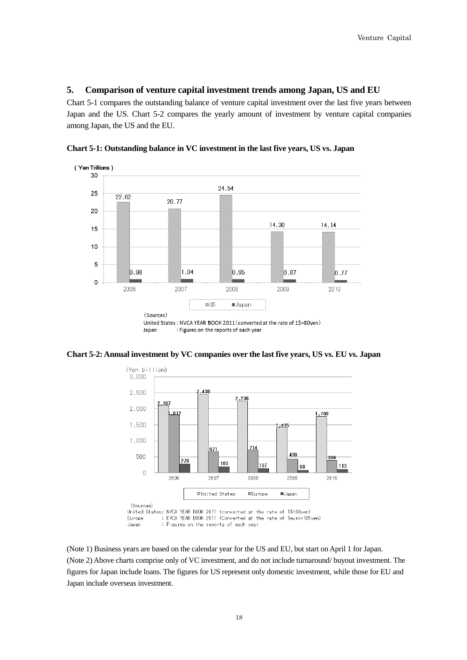#### <span id="page-22-0"></span>**5. Comparison of venture capital investment trends among Japan, US and EU**

Chart 5-1 compares the outstanding balance of venture capital investment over the last five years between Japan and the US. Chart 5-2 compares the yearly amount of investment by venture capital companies among Japan, the US and the EU.



**Chart 5-1: Outstanding balance in VC investment in the last five years, US vs. Japan** 





(Note 1) Business years are based on the calendar year for the US and EU, but start on April 1 for Japan. (Note 2) Above charts comprise only of VC investment, and do not include turnaround/ buyout investment. The figures for Japan include loans. The figures for US represent only domestic investment, while those for EU and Japan include overseas investment.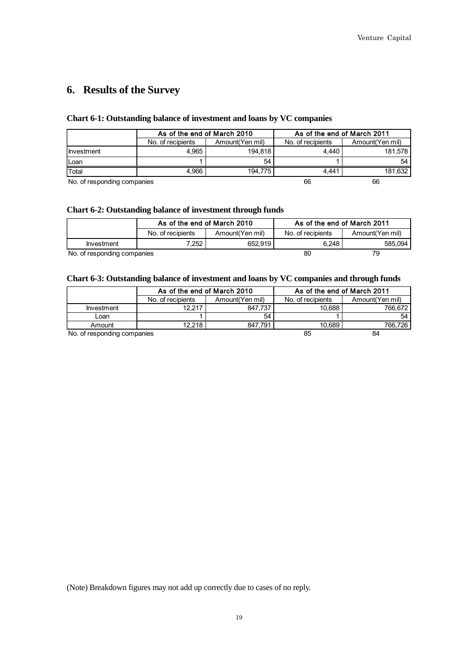# <span id="page-23-0"></span>**6. Results of the Survey**

#### **Chart 6-1: Outstanding balance of investment and loans by VC companies**

|                             | As of the end of March 2010 |                 | As of the end of March 2011 |                 |
|-----------------------------|-----------------------------|-----------------|-----------------------------|-----------------|
|                             | No. of recipients           | Amount(Yen mil) | No. of recipients           | Amount(Yen mil) |
| <b>I</b> nvestment          | 4.965                       | 194.818         | 4.440                       | 181,578         |
| Loan                        |                             | 54              |                             | 54              |
| Total                       | 4.966                       | 194.775         | 4.441                       | 181,632         |
| No. of responding companies |                             |                 | 66                          | 66              |

#### **Chart 6-2: Outstanding balance of investment through funds**

|                             | As of the end of March 2010 |                 | As of the end of March 2011 |                 |
|-----------------------------|-----------------------------|-----------------|-----------------------------|-----------------|
|                             | No. of recipients           | Amount(Yen mil) | No. of recipients           | Amount(Yen mil) |
| Investment                  | $7.252$ .                   | 652.919         | 6.248                       | 585.094         |
| No. of responding companies |                             |                 | 80                          | 79              |

#### **Chart 6-3: Outstanding balance of investment and loans by VC companies and through funds**

|                             | As of the end of March 2010 |                 | As of the end of March 2011 |                 |
|-----------------------------|-----------------------------|-----------------|-----------------------------|-----------------|
|                             | No. of recipients           | Amount(Yen mil) | No. of recipients           | Amount(Yen mil) |
| Investment                  | 12.217                      | 847.737         | 10.688                      | 766.672         |
| Loan                        |                             | 54              |                             | 54              |
| Amount                      | 12.218                      | 847.791         | 10.689                      | 766.726         |
| No. of responding companies |                             |                 | 85                          | 84              |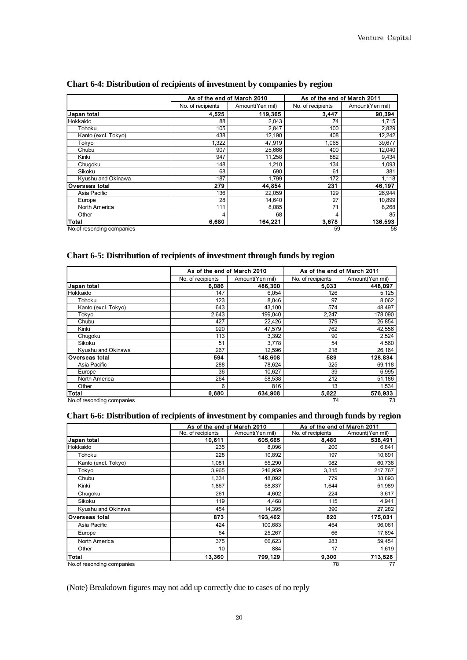|                           |                   | As of the end of March 2010<br>As of the end of March 2011 |                   |                 |  |  |
|---------------------------|-------------------|------------------------------------------------------------|-------------------|-----------------|--|--|
|                           | No. of recipients | Amount(Yen mil)                                            | No. of recipients | Amount(Yen mil) |  |  |
| Japan total               | 4.525             | 119,365                                                    | 3.447             | 90.394          |  |  |
| Hokkaido                  | 88                | 2,043                                                      | 74                | 1,715           |  |  |
| Tohoku                    | 105               | 2,847                                                      | 100               | 2,829           |  |  |
| Kanto (excl. Tokyo)       | 438               | 12,190                                                     | 408               | 12,242          |  |  |
| Tokyo                     | 1.322             | 47,919                                                     | 1.068             | 39,677          |  |  |
| Chubu                     | 907               | 25,666                                                     | 400               | 12,040          |  |  |
| Kinki                     | 947               | 11.258                                                     | 882               | 9,434           |  |  |
| Chugoku                   | 148               | 1,210                                                      | 134               | 1.093           |  |  |
| Sikoku                    | 68                | 690                                                        | 61                | 381             |  |  |
| Kyushu and Okinawa        | 187               | 1,799                                                      | 172               | 1,118           |  |  |
| Overseas total            | 279               | 44.854                                                     | 231               | 46,197          |  |  |
| Asia Pacific              | 136               | 22,059                                                     | 129               | 26,944          |  |  |
| Europe                    | 28                | 14,640                                                     | 27                | 10,899          |  |  |
| North America             | 111               | 8,085                                                      | 71                | 8,268           |  |  |
| Other                     | 4                 | 68                                                         | 4                 | 85              |  |  |
| Total                     | 6.680             | 164,221                                                    | 3,678             | 136,593         |  |  |
| No.of resonding companies |                   |                                                            | 59                | 58              |  |  |

#### **Chart 6-4: Distribution of recipients of investment by companies by region**

#### **Chart 6-5: Distribution of recipients of investment through funds by region**

|                           |                   | As of the end of March 2010<br>As of the end of March 2011 |                   |                 |  |
|---------------------------|-------------------|------------------------------------------------------------|-------------------|-----------------|--|
|                           | No. of recipients | Amount(Yen mil)                                            | No. of recipients | Amount(Yen mil) |  |
| <b>Japan total</b>        | 6.086             | 486,300                                                    | 5,033             | 448.097         |  |
| Hokkaido                  | 147               | 6,054                                                      | 126               | 5,125           |  |
| Tohoku                    | 123               | 8,046                                                      | 97                | 8,062           |  |
| Kanto (excl. Tokyo)       | 643               | 43,100                                                     | 574               | 48,497          |  |
| Tokyo                     | 2,643             | 199,040                                                    | 2,247             | 178,090         |  |
| Chubu                     | 427               | 22,426                                                     | 379               | 26,854          |  |
| Kinki                     | 920               | 47,579                                                     | 762               | 42,556          |  |
| Chugoku                   | 113               | 3,392                                                      | 90                | 2,524           |  |
| Sikoku                    | 51                | 3,778                                                      | 54                | 4,560           |  |
| Kyushu and Okinawa        | 267               | 12,596                                                     | 218               | 26,164          |  |
| <b>Overseas total</b>     | 594               | 148,608                                                    | 589               | 128,834         |  |
| Asia Pacific              | 288               | 78,624                                                     | 325               | 69,118          |  |
| Europe                    | 36                | 10,627                                                     | 39                | 6,995           |  |
| North America             | 264               | 58,538                                                     | 212               | 51,186          |  |
| Other                     | 6                 | 816                                                        | 13                | 1,534           |  |
| <b>Total</b>              | 6,680             | 634,908                                                    | 5,622             | 576,933         |  |
| No.of resonding companies |                   |                                                            | 74                | 73              |  |

#### **Chart 6-6: Distribution of recipients of investment by companies and through funds by region**

|                           | As of the end of March 2010 |                 | As of the end of March 2011 |                 |  |
|---------------------------|-----------------------------|-----------------|-----------------------------|-----------------|--|
|                           | No. of recipients           | Amount(Yen mil) | No. of recipients           | Amount(Yen mil) |  |
| Japan total               | 10,611                      | 605,665         | 8,480                       | 538,491         |  |
| Hokkaido                  | 235                         | 8,096           | 200                         | 6,841           |  |
| Tohoku                    | 228                         | 10,892          | 197                         | 10,891          |  |
| Kanto (excl. Tokyo)       | 1,081                       | 55,290          | 982                         | 60,738          |  |
| Tokyo                     | 3,965                       | 246,959         | 3,315                       | 217,767         |  |
| Chubu                     | 1,334                       | 48,092          | 779                         | 38,893          |  |
| Kinki                     | 1,867                       | 58,837          | 1,644                       | 51,989          |  |
| Chugoku                   | 261                         | 4,602           | 224                         | 3,617           |  |
| Sikoku                    | 119                         | 4,468           | 115                         | 4,941           |  |
| Kyushu and Okinawa        | 454                         | 14,395          | 390                         | 27,282          |  |
| Overseas total            | 873                         | 193,462         | 820                         | 175,031         |  |
| Asia Pacific              | 424                         | 100,683         | 454                         | 96,061          |  |
| Europe                    | 64                          | 25,267          | 66                          | 17,894          |  |
| North America             | 375                         | 66,623          | 283                         | 59,454          |  |
| Other                     | 10                          | 884             | 17                          | 1,619           |  |
| <b>Total</b>              | 13,360                      | 799,129         | 9,300                       | 713,526         |  |
| No.of resonding companies |                             |                 | 78                          | 77              |  |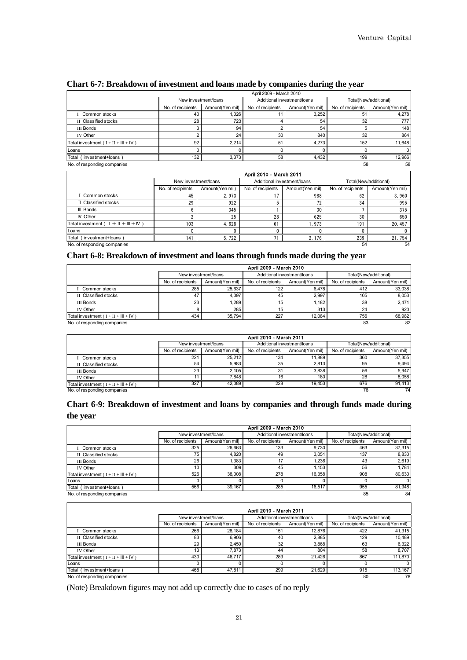|                                        |                   | April 2009 - March 2010 |                   |                             |                       |                 |  |
|----------------------------------------|-------------------|-------------------------|-------------------|-----------------------------|-----------------------|-----------------|--|
|                                        |                   | New investment/loans    |                   | Additional investment/loans | Total(New/additional) |                 |  |
|                                        | No. of recipients | Amount(Yen mil)         | No. of recipients | Amount(Yen mil)             | No. of recipients     | Amount(Yen mil) |  |
| I Common stocks                        | 40                | 1,026                   |                   | 3.252                       | 5 <sup>1</sup>        | 4,278           |  |
| II Classified stocks                   | 28                | 723                     |                   | 54                          | 32                    | 777             |  |
| <b>III Bonds</b>                       |                   | 94                      |                   | 54                          |                       | 148             |  |
| IV Other                               |                   | 24                      | 30                | 840                         | 32                    | 864             |  |
| Total investment $(I + II + III + IV)$ | 92                | 2.214                   | 51                | 4.273                       | 152                   | 11.648          |  |
| Loans                                  |                   |                         |                   |                             |                       | $\Omega$        |  |
| investment+loans<br>Total              | 132               | 3,373                   | 58                | 4.432                       | 199                   | 12.966          |  |
| No. of responding companies            |                   |                         |                   |                             | 58                    | 58              |  |

#### **Chart 6-7: Breakdown of investment and loans made by companies during the year**

| (investment+loans)<br>Total              | 132 <sub>1</sub>     | 3,373           | 58                          | 4,432           | 199                   | 12,966          |
|------------------------------------------|----------------------|-----------------|-----------------------------|-----------------|-----------------------|-----------------|
| No. of responding companies              |                      |                 |                             |                 | 58                    | 58              |
|                                          |                      |                 | April 2010 - March 2011     |                 |                       |                 |
|                                          | New investment/loans |                 | Additional investment/loans |                 | Total(New/additional) |                 |
|                                          | No. of recipients    | Amount(Yen mil) | No. of recipients           | Amount(Yen mil) | No. of recipients     | Amount(Yen mil) |
| I Common stocks                          | 45                   | 2.973           |                             | 988             | 62                    | 3.960           |
| II Classified stocks                     | 29                   | 922             | 5                           | 72              | 34                    | 995             |
| III Bonds                                | 6                    | 345             |                             | 30              |                       | 375             |
| <b>IV</b> Other                          |                      | 25              | 28                          | 625             | 30                    | 650             |
| Total investment $( I + II + III + IV )$ | 103                  | 4.628           | 6 <sup>1</sup>              | 1.973           | 191                   | 20.457          |
| Loans                                    |                      | C               | 0                           |                 | 0                     | $\mathbf{0}$    |
| Total<br>í investment+loans              | 141                  | 5,722           | 71                          | 2, 176          | 239                   | 21, 754         |
| No. of responding companies              |                      |                 |                             |                 | 54                    | 54              |

#### **Chart 6-8: Breakdown of investment and loans through funds made during the year**

|                                        | April 2009 - March 2010 |                      |                   |                             |                   |                       |  |  |
|----------------------------------------|-------------------------|----------------------|-------------------|-----------------------------|-------------------|-----------------------|--|--|
|                                        |                         | New investment/loans |                   | Additional investment/loans |                   | Total(New/additional) |  |  |
|                                        | No. of recipients       | Amount(Yen mil)      | No. of recipients | Amount(Yen mil)             | No. of recipients | Amount(Yen mil)       |  |  |
| Common stocks                          | 285                     | 25.637               | 122               | 6.478                       | 412               | 33,038                |  |  |
| II Classified stocks                   | 47                      | 4.097                | 45                | 2.997                       | 105               | 8.053                 |  |  |
| <b>III Bonds</b>                       | 23                      | 1.289                | 15                | 1.182                       | 38                | 2.471                 |  |  |
| <b>IV Other</b>                        |                         | 285                  | 15                | 313                         | 24                | 920                   |  |  |
| Total investment $(I + II + III + IV)$ | 434                     | 35.794               | 227               | 12.084                      | 756               | 68.982                |  |  |
| No. of responding companies            |                         |                      |                   |                             | 83                | 82                    |  |  |

|                                        | April 2010 - March 2011 |                      |                             |                 |                       |                 |  |  |  |
|----------------------------------------|-------------------------|----------------------|-----------------------------|-----------------|-----------------------|-----------------|--|--|--|
|                                        |                         | New investment/loans | Additional investment/loans |                 | Total(New/additional) |                 |  |  |  |
|                                        | No. of recipients       | Amount(Yen mil)      | No. of recipients           | Amount(Yen mil) | No. of recipients     | Amount(Yen mil) |  |  |  |
| Common stocks                          | 221                     | 25.212               | $134 -$                     | 11.889          | 360                   | 37,355          |  |  |  |
| II Classified stocks                   | 54                      | 5.983                | 35                          | 2.813           | 95                    | 9.494           |  |  |  |
| <b>III Bonds</b>                       | 23                      | 2.105                | 31                          | 3.838           | 56                    | 5.947           |  |  |  |
| <b>IV Other</b>                        | 11                      | 7.848                | 16                          | 180             | 28                    | 8.058           |  |  |  |
| Total investment $(I + II + III + IV)$ | 327                     | 42.089               | 228                         | 19.453          | 676                   | 91.413          |  |  |  |
| No. of responding companies            |                         |                      |                             |                 | 76                    | 74              |  |  |  |

### **Chart 6-9: Breakdown of investment and loans by companies and through funds made during the year**

|                                          |                   | April 2009 - March 2010 |                   |                             |                   |                       |  |  |  |
|------------------------------------------|-------------------|-------------------------|-------------------|-----------------------------|-------------------|-----------------------|--|--|--|
|                                          |                   | New investment/loans    |                   | Additional investment/loans |                   | Total(New/additional) |  |  |  |
|                                          | No. of recipients | Amount(Yen mil)         | No. of recipients | Amount(Yen mil)             | No. of recipients | Amount(Yen mil)       |  |  |  |
| Common stocks                            | 325               | 26.663                  | 133               | 9.730                       | 463               | 37,315                |  |  |  |
| II Classified stocks                     | 75                | 4,820                   | 49                | 3,051                       | 137               | 8,830                 |  |  |  |
| <b>III Bonds</b>                         | 26                | 1.383                   | 17                | 1.236                       | 43                | 2.619                 |  |  |  |
| <b>IV Other</b>                          | 10                | 309                     | 45                | 1.153                       | 56                | 1.784                 |  |  |  |
| Total investment ( $I + II + III + IV$ ) | 526               | 38,008                  | 278               | 16.358                      | 908               | 80.630                |  |  |  |
| Loans                                    |                   |                         |                   |                             |                   |                       |  |  |  |
| Total<br>investment+loans                | 566               | 39,167                  | 285               | 16,517                      | 955               | 81,948                |  |  |  |
| No. of responding companies              |                   |                         |                   |                             | 85                | 84                    |  |  |  |

|                                        |                   | April 2010 - March 2011 |                             |                 |                       |                 |  |  |  |
|----------------------------------------|-------------------|-------------------------|-----------------------------|-----------------|-----------------------|-----------------|--|--|--|
|                                        |                   | New investment/loans    | Additional investment/loans |                 | Total(New/additional) |                 |  |  |  |
|                                        | No. of recipients | Amount(Yen mil)         | No. of recipients           | Amount(Yen mil) | No. of recipients     | Amount(Yen mil) |  |  |  |
| Common stocks                          | 266               | 28.184                  | 151                         | 12,876          | 422                   | 41,315          |  |  |  |
| II Classified stocks                   | 83                | 6.906                   | 40                          | 2.885           | 129                   | 10.489          |  |  |  |
| III Bonds                              | 29                | 2.450                   | 32                          | 3.868           | 63                    | 6,322           |  |  |  |
| <b>IV Other</b>                        | 13                | 7.873                   | 44                          | 804             | 58                    | 8.707           |  |  |  |
| Total investment $(I + II + III + IV)$ | 430               | 46.717                  | 289                         | 21.426          | 867                   | 111.870         |  |  |  |
| Loans                                  | 0                 |                         |                             |                 |                       | 0               |  |  |  |
| Total<br>investment+loans              | 468               | 47,811                  | 299                         | 21,629          | 915                   | 113.167         |  |  |  |
| No. of responding companies            |                   |                         |                             |                 | 80                    | 78              |  |  |  |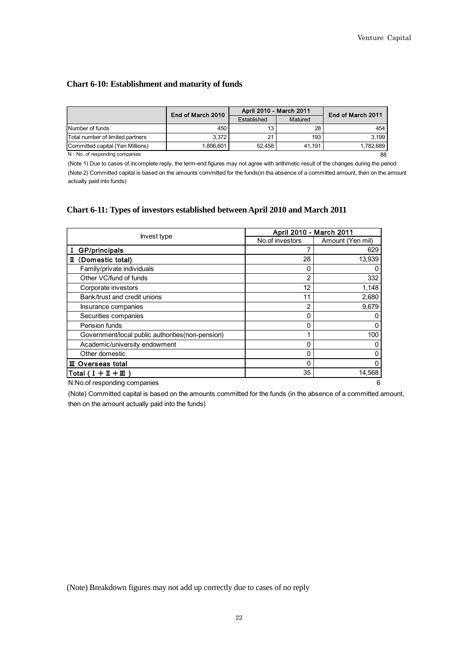#### **Chart 6-10: Establishment and maturity of funds**

|                                  | End of March 2010 | April 2010 - March 2011 | End of March 2011 |           |
|----------------------------------|-------------------|-------------------------|-------------------|-----------|
|                                  |                   | Established             | Matured           |           |
| Number of funds                  | 450               |                         | 28                | 454       |
| Total number of limited partners | 3.372             | 21                      | 193               | 3.199     |
| Committed capital (Yen Millions) | 1.806.601         | 52.458                  | 41.191            | 1.782.689 |
| N: No. of responding companies   |                   |                         |                   | 88        |

N: No. of responding companies

(Note 2) Committed capital is based on the amounts committed for the funds(in tha absence of a committed amount, then on the amount actually paid into funds) (Note 1) Due to cases of incomplete reply, the term-end figures may not agree with arithmetic result of the changes during the period

| Invest type                                       | April 2010 - March 2011 |                  |
|---------------------------------------------------|-------------------------|------------------|
|                                                   | No.of investors         | Amount (Yen mil) |
| <b>GP/principals</b>                              |                         | 629              |
| (Domestic total)<br>п                             | 28                      | 13,939           |
| Family/private individuals                        | 0                       | 0                |
| Other VC/fund of funds                            | $\overline{2}$          | 332              |
| Corporate investors                               | 12                      | 1,148            |
| Bank/trust and credit unions                      | 11                      | 2,680            |
| Insurance companies                               | $\overline{2}$          | 9,679            |
| Securities companies                              | 0                       | 0                |
| Pension funds                                     | 0                       | 0                |
| Government/local public authorities (non-pension) |                         | 100              |
| Academic/university endowment                     | 0                       | 0                |
| Other domestic                                    | 0                       | 0                |
| <b>Ⅲ</b> Overseas total                           | 0                       | 0                |
| $Total (I + II + III)$                            | 35                      | 14,568           |

N:No.of responding companies 6

(Note) Committed capital is based on the amounts committed for the funds (in the absence of a committed amount, then on the amount actually paid into the funds)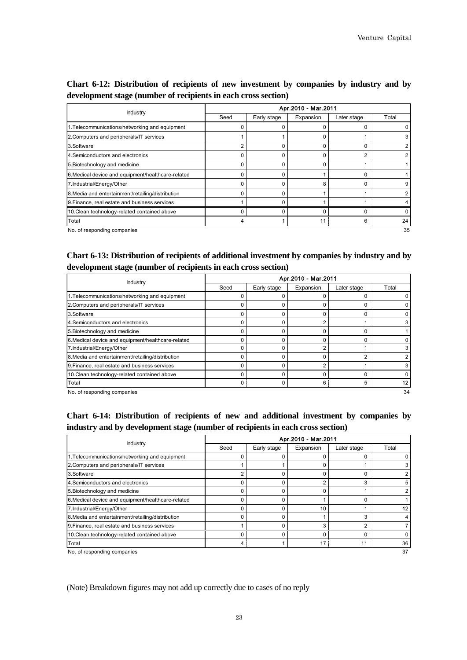| Chart 6-12: Distribution of recipients of new investment by companies by industry and by |  |  |  |  |  |
|------------------------------------------------------------------------------------------|--|--|--|--|--|
| development stage (number of recipients in each cross section)                           |  |  |  |  |  |

|                                                    |      |             | Apr.2010 - Mar.2011 |             |       |
|----------------------------------------------------|------|-------------|---------------------|-------------|-------|
| <b>Industry</b>                                    | Seed | Early stage | Expansion           | Later stage | Total |
| 1. Telecommunications/networking and equipment     |      |             |                     |             |       |
| 2. Computers and peripherals/IT services           |      |             |                     |             |       |
| 3.Software                                         | 2    |             |                     |             |       |
| 4. Semiconductors and electronics                  | 0    |             |                     |             |       |
| 5. Biotechnology and medicine                      | 0    |             | 0                   |             |       |
| 6. Medical device and equipment/healthcare-related | O    |             |                     |             |       |
| 7. Industrial/Energy/Other                         | 0    |             | 8                   |             |       |
| 8. Media and entertainment/retailing/distribution  | 0    |             |                     |             |       |
| 9. Finance, real estate and business services      |      |             |                     |             |       |
| 10. Clean technology-related contained above       | ŋ    |             |                     |             |       |
| Total                                              |      |             | 11                  | 6           | 24    |
| No. of responding companies                        |      |             |                     |             | 35    |

## **Chart 6-13: Distribution of recipients of additional investment by companies by industry and by development stage (number of recipients in each cross section)**

|                                                    |          |             | Apr.2010 - Mar.2011 |             |       |
|----------------------------------------------------|----------|-------------|---------------------|-------------|-------|
| Industry                                           | Seed     | Early stage | Expansion           | Later stage | Total |
| 1. Telecommunications/networking and equipment     |          |             |                     |             |       |
| 2. Computers and peripherals/IT services           | 0        |             |                     |             |       |
| 3.Software                                         | $\Omega$ |             | O                   |             |       |
| 4. Semiconductors and electronics                  | 0        |             |                     |             | 3     |
| 5. Biotechnology and medicine                      | $\Omega$ |             |                     |             |       |
| 6. Medical device and equipment/healthcare-related | $\Omega$ |             | O                   |             |       |
| 7. Industrial/Energy/Other                         | $\Omega$ |             | 2                   |             | 3     |
| 8. Media and entertainment/retailing/distribution  | $\Omega$ |             | O                   |             |       |
| 9. Finance, real estate and business services      | $\Omega$ |             | ◠                   |             | 3     |
| 10. Clean technology-related contained above       | $\Omega$ |             | n                   |             | 0     |
| Total                                              | 0        |             | 6                   | 5           | 12    |
| No. of responding companies                        |          |             |                     |             | 34    |

# **Chart 6-14: Distribution of recipients of new and additional investment by companies by industry and by development stage (number of recipients in each cross section)**

| Industry                                           |      |             | Apr.2010 - Mar.2011 |             |       |
|----------------------------------------------------|------|-------------|---------------------|-------------|-------|
|                                                    | Seed | Early stage | Expansion           | Later stage | Total |
| 1. Telecommunications/networking and equipment     |      |             |                     |             |       |
| 2. Computers and peripherals/IT services           |      |             |                     |             | 3     |
| 3.Software                                         | 2    |             |                     | ŋ           | 2     |
| 4. Semiconductors and electronics                  | 0    |             | $\overline{2}$      | 3           | 5     |
| 5. Biotechnology and medicine                      | C    |             | n                   |             | 2     |
| 6. Medical device and equipment/healthcare-related |      |             |                     |             |       |
| 7. Industrial/Energy/Other                         | O    |             | 10                  |             | 12    |
| 8. Media and entertainment/retailing/distribution  |      |             |                     |             |       |
| 9. Finance, real estate and business services      |      |             | 3                   | າ           |       |
| 10. Clean technology-related contained above       |      |             |                     |             |       |
| Total                                              | 4    |             | 17                  | 11          | 36    |
| No. of responding companies                        |      |             |                     |             | 37    |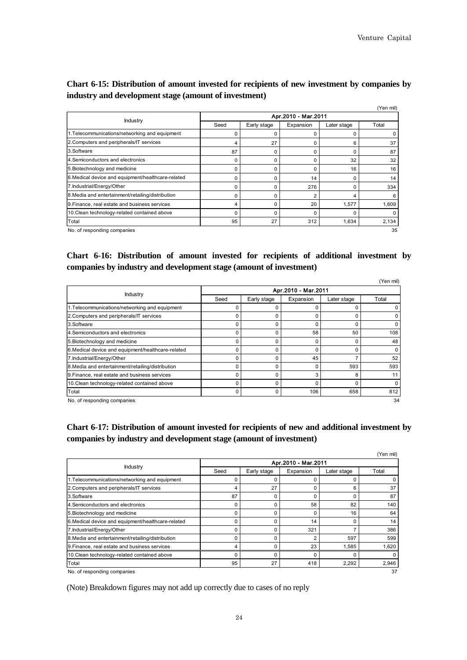## **Chart 6-15: Distribution of amount invested for recipients of new investment by companies by industry and development stage (amount of investment)**

|                                                    |                     |             |           |             | (Yen mil) |  |  |  |
|----------------------------------------------------|---------------------|-------------|-----------|-------------|-----------|--|--|--|
| Industry                                           | Apr.2010 - Mar.2011 |             |           |             |           |  |  |  |
|                                                    | Seed                | Early stage | Expansion | Later stage | Total     |  |  |  |
| 1. Telecommunications/networking and equipment     | 0                   | O           | 0         | ŋ           | 0         |  |  |  |
| 2. Computers and peripherals/IT services           | 4                   | 27          | 0         | 6           | 37        |  |  |  |
| 3.Software                                         | 87                  | 0           | 0         | n           | 87        |  |  |  |
| 4. Semiconductors and electronics                  | 0                   | 0           | 0         | 32          | 32        |  |  |  |
| 5. Biotechnology and medicine                      | 0                   | 0           | 0         | 16          | 16        |  |  |  |
| 6. Medical device and equipment/healthcare-related | $\Omega$            | 0           | 14        | 0           | 14        |  |  |  |
| 7. Industrial/Energy/Other                         | 0                   | 0           | 276       | O           | 334       |  |  |  |
| 8. Media and entertainment/retailing/distribution  | 0                   | O           | 2         | 4           | 6         |  |  |  |
| 9. Finance, real estate and business services      | 4                   |             | 20        | 1,577       | 1,609     |  |  |  |
| 10. Clean technology-related contained above       | 0                   | O           | 0         |             | $\Omega$  |  |  |  |
| Total                                              | 95                  | 27          | 312       | 1,634       | 2,134     |  |  |  |
| No. of responding companies                        |                     |             |           |             | 35        |  |  |  |

## **Chart 6-16: Distribution of amount invested for recipients of additional investment by companies by industry and development stage (amount of investment)**

|                                                    |      |             |                     |             | (Yen mil) |
|----------------------------------------------------|------|-------------|---------------------|-------------|-----------|
| Industry                                           |      |             | Apr.2010 - Mar.2011 |             |           |
|                                                    | Seed | Early stage | Expansion           | Later stage | Total     |
| 1. Telecommunications/networking and equipment     | 0    |             |                     | 0           |           |
| 2. Computers and peripherals/IT services           | 0    |             |                     | ŋ           |           |
| 3.Software                                         | 0    |             | n                   | 0           |           |
| 4. Semiconductors and electronics                  | 0    |             | 58                  | 50          | 108       |
| 5. Biotechnology and medicine                      | 0    | ŋ           | O                   | 0           | 48        |
| 6. Medical device and equipment/healthcare-related | 0    |             | $\Omega$            | O           |           |
| 7. Industrial/Energy/Other                         | 0    |             | 45                  |             | 52        |
| 8. Media and entertainment/retailing/distribution  | 0    | ŋ           | $\Omega$            | 593         | 593       |
| 9. Finance, real estate and business services      | 0    |             | З                   | 8           |           |
| 10. Clean technology-related contained above       | 0    |             |                     | O           |           |
| Total                                              | 0    |             | 106                 | 658         | 812       |
| No. of responding companies                        |      |             |                     |             | 34        |

# **Chart 6-17: Distribution of amount invested for recipients of new and additional investment by companies by industry and development stage (amount of investment)**

|                                                    | (Yen mil)<br>Apr.2010 - Mar.2011 |             |           |             |       |  |  |  |
|----------------------------------------------------|----------------------------------|-------------|-----------|-------------|-------|--|--|--|
| Industry                                           | Seed                             | Early stage | Expansion | Later stage | Total |  |  |  |
| 1. Telecommunications/networking and equipment     | 0                                | $\Omega$    | 0         |             | 0     |  |  |  |
| 2. Computers and peripherals/IT services           | 4                                | 27          | 0         | 6           | 37    |  |  |  |
| 3.Software                                         | 87                               | $\Omega$    | 0         | ŋ           | 87    |  |  |  |
| 4. Semiconductors and electronics                  | $\Omega$                         | 0           | 58        | 82          | 140   |  |  |  |
| 5. Biotechnology and medicine                      | 0                                | $\Omega$    | $\Omega$  | 16          | 64    |  |  |  |
| 6. Medical device and equipment/healthcare-related | $\Omega$                         | O           | 14        |             | 14    |  |  |  |
| 7.Industrial/Energy/Other                          | $\Omega$                         | $\Omega$    | 321       |             | 386   |  |  |  |
| 8. Media and entertainment/retailing/distribution  | O                                |             | 2         | 597         | 599   |  |  |  |
| 9. Finance, real estate and business services      | 4                                | $\Omega$    | 23        | 1,585       | 1,620 |  |  |  |
| 10. Clean technology-related contained above       | C                                |             | 0         |             | 0     |  |  |  |
| Total                                              | 95                               | 27          | 418       | 2,292       | 2,946 |  |  |  |
| No. of responding companies                        |                                  |             |           |             | 37    |  |  |  |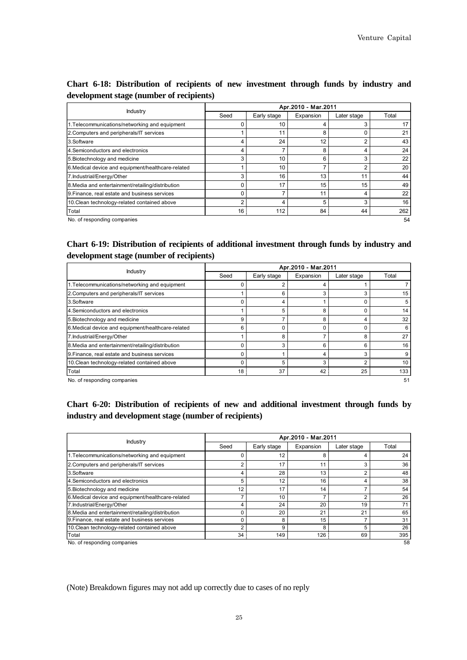|                                                    |                |             | Apr.2010 - Mar.2011 |             |       |
|----------------------------------------------------|----------------|-------------|---------------------|-------------|-------|
| Industry                                           | Seed           | Early stage | Expansion           | Later stage | Total |
| 1. Telecommunications/networking and equipment     |                | 10          | 4                   |             | 17    |
| 2. Computers and peripherals/IT services           |                | 11          | 8                   |             | 21    |
| 3.Software                                         | 4              | 24          | 12                  | ◠           | 43    |
| 4. Semiconductors and electronics                  | 4              |             | 8                   |             | 24    |
| 5. Biotechnology and medicine                      | 3              | 10          | 6                   | 3           | 22    |
| 6. Medical device and equipment/healthcare-related |                | 10          | 7                   |             | 20    |
| 7. Industrial/Energy/Other                         | 3              | 16          | 13                  | 11          | 44    |
| 8. Media and entertainment/retailing/distribution  | 0              | 17          | 15                  | 15          | 49    |
| 9. Finance, real estate and business services      | 0              |             | 11                  |             | 22    |
| 10. Clean technology-related contained above       | $\overline{2}$ | 4           | 5                   | 3           | 16    |
| Total                                              | 16             | 112         | 84                  | 44          | 262   |
| No. of responding companies                        |                |             |                     |             | 54    |

# **Chart 6-18: Distribution of recipients of new investment through funds by industry and development stage (number of recipients)**

## **Chart 6-19: Distribution of recipients of additional investment through funds by industry and development stage (number of recipients)**

| Industry                                           | Apr.2010 - Mar.2011 |             |           |             |                 |  |  |  |
|----------------------------------------------------|---------------------|-------------|-----------|-------------|-----------------|--|--|--|
|                                                    | Seed                | Early stage | Expansion | Later stage | Total           |  |  |  |
| 1. Telecommunications/networking and equipment     | 0                   |             |           |             |                 |  |  |  |
| 2. Computers and peripherals/IT services           |                     | 6           | 3         |             | 15              |  |  |  |
| 3.Software                                         | 0                   | 4           |           |             | 5               |  |  |  |
| 4. Semiconductors and electronics                  |                     | 5           | 8         |             | 14              |  |  |  |
| 5. Biotechnology and medicine                      | 9                   |             | 8         |             | 32              |  |  |  |
| 6. Medical device and equipment/healthcare-related | 6                   |             | O         |             | 6               |  |  |  |
| 7. Industrial/Energy/Other                         |                     | 8           | 7         | 8           | 27              |  |  |  |
| 8. Media and entertainment/retailing/distribution  | 0                   | 3           | 6         | 6           | 16              |  |  |  |
| 9. Finance, real estate and business services      |                     |             | 4         |             | 9               |  |  |  |
| 10. Clean technology-related contained above       | O                   | 5           | 3         | ີ           | 10 <sup>°</sup> |  |  |  |
| Total                                              | 18                  | 37          | 42        | 25          | 133             |  |  |  |
| No of responding companies                         |                     |             |           |             | 51              |  |  |  |

No. of responding companies

## **Chart 6-20: Distribution of recipients of new and additional investment through funds by industry and development stage (number of recipients)**

|                                                    |                |             | Apr.2010 - Mar.2011 |             |       |
|----------------------------------------------------|----------------|-------------|---------------------|-------------|-------|
| <b>Industry</b>                                    | Seed           | Early stage | Expansion           | Later stage | Total |
| 1. Telecommunications/networking and equipment     | 0              | 12          | 8                   |             | 24    |
| 2. Computers and peripherals/IT services           | $\overline{2}$ | 17          | 11                  |             | 36    |
| 3.Software                                         | 4              | 28          | 13                  |             | 48    |
| 4. Semiconductors and electronics                  | 5              | 12          | 16                  |             | 38    |
| 5. Biotechnology and medicine                      | 12             | 17          | 14                  |             | 54    |
| 6. Medical device and equipment/healthcare-related |                | 10          |                     |             | 26    |
| 7. Industrial/Energy/Other                         | 4              | 24          | 20                  | 19          | 71    |
| 8. Media and entertainment/retailing/distribution  | $\Omega$       | 20          | 21                  | 21          | 65    |
| 9. Finance, real estate and business services      | $\Omega$       | 8           | 15                  |             | 31    |
| 10. Clean technology-related contained above       | $\overline{2}$ | 9           | 8                   | 5           | 26    |
| Total                                              | 34             | 149         | 126                 | 69          | 395   |
| 58<br>No. of responding companies                  |                |             |                     |             |       |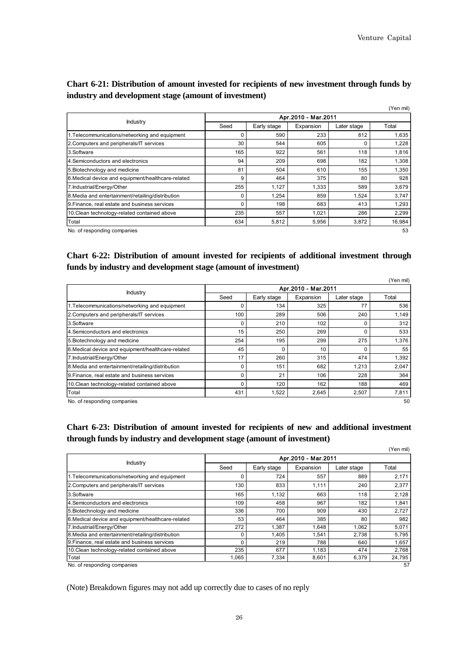|                                                    |                     |             |           |             | (Yen mil) |  |
|----------------------------------------------------|---------------------|-------------|-----------|-------------|-----------|--|
|                                                    | Apr.2010 - Mar.2011 |             |           |             |           |  |
| Industry                                           | Seed                | Early stage | Expansion | Later stage | Total     |  |
| 1. Telecommunications/networking and equipment     | $\Omega$            | 590         | 233       | 812         | 1,635     |  |
| 2. Computers and peripherals/IT services           | 30                  | 544         | 605       | $\Omega$    | 1,228     |  |
| 3.Software                                         | 165                 | 922         | 561       | 118         | 1,816     |  |
| 4. Semiconductors and electronics                  | 94                  | 209         | 698       | 182         | 1,308     |  |
| 5. Biotechnology and medicine                      | 81                  | 504         | 610       | 155         | 1,350     |  |
| 6. Medical device and equipment/healthcare-related | 9                   | 464         | 375       | 80          | 928       |  |
| 7. Industrial/Energy/Other                         | 255                 | 1.127       | 1,333     | 589         | 3,679     |  |
| 8. Media and entertainment/retailing/distribution  | $\Omega$            | 1,254       | 859       | 1.524       | 3,747     |  |
| 9. Finance, real estate and business services      | $\Omega$            | 198         | 683       | 413         | 1,293     |  |
| 10. Clean technology-related contained above       | 235                 | 557         | 1,021     | 286         | 2,299     |  |
| Total                                              | 634                 | 5,812       | 5,956     | 3,872       | 16,984    |  |
| No. of responding companies                        |                     |             |           |             | 53        |  |

## **Chart 6-21: Distribution of amount invested for recipients of new investment through funds by industry and development stage (amount of investment)**

# **Chart 6-22: Distribution of amount invested for recipients of additional investment through funds by industry and development stage (amount of investment)**

|                                                    |                     |             |           |             | (Yen mil) |  |
|----------------------------------------------------|---------------------|-------------|-----------|-------------|-----------|--|
|                                                    | Apr.2010 - Mar.2011 |             |           |             |           |  |
| <b>Industry</b>                                    | Seed                | Early stage | Expansion | Later stage | Total     |  |
| 1. Telecommunications/networking and equipment     |                     | 134         | 325       | 77          | 536       |  |
| 2. Computers and peripherals/IT services           | 100                 | 289         | 506       | 240         | 1,149     |  |
| 3.Software                                         | $\Omega$            | 210         | 102       |             | 312       |  |
| 4. Semiconductors and electronics                  | 15                  | 250         | 269       |             | 533       |  |
| 5. Biotechnology and medicine                      | 254                 | 195         | 299       | 275         | 1,376     |  |
| 6. Medical device and equipment/healthcare-related | 45                  | $\Omega$    | 10        |             | 55        |  |
| 7. Industrial/Energy/Other                         | 17                  | 260         | 315       | 474         | 1,392     |  |
| 8. Media and entertainment/retailing/distribution  | $\Omega$            | 151         | 682       | 1.213       | 2,047     |  |
| 9. Finance, real estate and business services      | $\Omega$            | 21          | 106       | 228         | 364       |  |
| 10. Clean technology-related contained above       | $\Omega$            | 120         | 162       | 188         | 469       |  |
| Total                                              | 431                 | 1,522       | 2,645     | 2,507       | 7,811     |  |
| No. of responding companies                        |                     |             |           |             | 50        |  |

## **Chart 6-23: Distribution of amount invested for recipients of new and additional investment through funds by industry and development stage (amount of investment)**

|                                                    |                     |             |           |             | (Yen mil) |  |
|----------------------------------------------------|---------------------|-------------|-----------|-------------|-----------|--|
|                                                    | Apr.2010 - Mar.2011 |             |           |             |           |  |
| Industry                                           | Seed                | Early stage | Expansion | Later stage | Total     |  |
| 1. Telecommunications/networking and equipment     | $\Omega$            | 724         | 557       | 889         | 2,171     |  |
| 2. Computers and peripherals/IT services           | 130                 | 833         | 1,111     | 240         | 2,377     |  |
| 3.Software                                         | 165                 | 1,132       | 663       | 118         | 2,128     |  |
| 4. Semiconductors and electronics                  | 109                 | 458         | 967       | 182         | 1,841     |  |
| 5. Biotechnology and medicine                      | 336                 | 700         | 909       | 430         | 2,727     |  |
| 6. Medical device and equipment/healthcare-related | 53                  | 464         | 385       | 80          | 982       |  |
| 7. Industrial/Energy/Other                         | 272                 | 1,387       | 1,648     | 1,062       | 5,071     |  |
| 8. Media and entertainment/retailing/distribution  | $\Omega$            | 1.405       | 1,541     | 2.738       | 5,795     |  |
| 9. Finance, real estate and business services      | $\Omega$            | 219         | 788       | 640         | 1,657     |  |
| 10. Clean technology-related contained above       | 235                 | 677         | 1,183     | 474         | 2,768     |  |
| Total                                              | 1,065               | 7,334       | 8,601     | 6,379       | 24,795    |  |
| No. of responding companies                        |                     |             |           |             | 57        |  |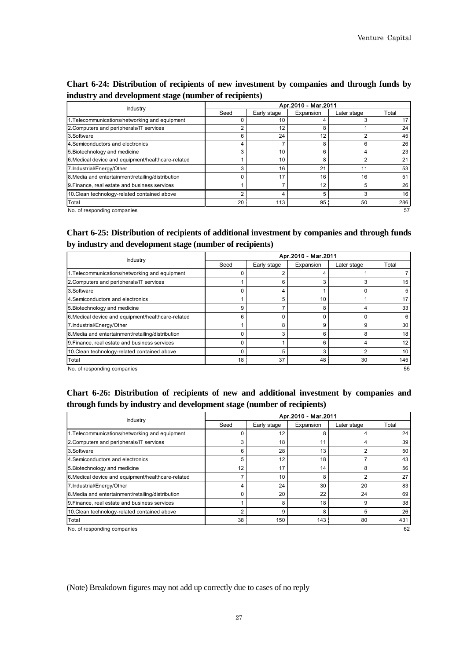## **Chart 6-24: Distribution of recipients of new investment by companies and through funds by industry and development stage (number of recipients)**

|                                                    | Apr.2010 - Mar.2011 |             |           |             |       |  |
|----------------------------------------------------|---------------------|-------------|-----------|-------------|-------|--|
| <b>Industry</b>                                    | Seed                | Early stage | Expansion | Later stage | Total |  |
| 1. Telecommunications/networking and equipment     | 0                   | 10          | 4         |             | 17    |  |
| 2. Computers and peripherals/IT services           | $\overline{2}$      | 12          | 8         |             | 24    |  |
| 3.Software                                         | 6                   | 24          | 12        |             | 45    |  |
| 4. Semiconductors and electronics                  | 4                   |             | 8         |             | 26    |  |
| 5. Biotechnology and medicine                      | 3                   | 10          | 6         |             | 23    |  |
| 6. Medical device and equipment/healthcare-related |                     | 10          | 8         |             | 21    |  |
| 7. Industrial/Energy/Other                         | 3                   | 16          | 21        | 11          | 53    |  |
| 8. Media and entertainment/retailing/distribution  | $\Omega$            | 17          | 16        | 16          | 51    |  |
| 9. Finance, real estate and business services      |                     |             | 12        |             | 26    |  |
| 10. Clean technology-related contained above       | 2                   |             | 5         |             | 16    |  |
| Total                                              | 20                  | 113         | 95        | 50          | 286   |  |
| No. of responding companies                        |                     |             |           |             | 57    |  |

**Chart 6-25: Distribution of recipients of additional investment by companies and through funds by industry and development stage (number of recipients)**

|                                                    | Apr.2010 - Mar.2011 |             |           |             |       |  |
|----------------------------------------------------|---------------------|-------------|-----------|-------------|-------|--|
| Industry                                           | Seed                | Early stage | Expansion | Later stage | Total |  |
| 1. Telecommunications/networking and equipment     | O                   | ◠           |           |             |       |  |
| 2. Computers and peripherals/IT services           |                     | 6           | 3         |             | 15    |  |
| 3.Software                                         | $\Omega$            | 4           |           |             | 5     |  |
| 4. Semiconductors and electronics                  |                     | 5           | 10        |             | 17    |  |
| 5. Biotechnology and medicine                      | 9                   |             | 8         |             | 33    |  |
| 6. Medical device and equipment/healthcare-related | 6                   | O           | ŋ         |             | 6     |  |
| 7. Industrial/Energy/Other                         |                     | 8           | 9         | 9           | 30    |  |
| 8. Media and entertainment/retailing/distribution  | $\Omega$            | 3           | 6         | 8           | 18    |  |
| 9. Finance, real estate and business services      |                     |             | 6         |             | 12    |  |
| 10. Clean technology-related contained above       | O                   | 5           | З         | n           | 10    |  |
| Total                                              | 18                  | 37          | 48        | 30          | 145   |  |
| No. of responding companies                        |                     |             |           |             | 55    |  |

lo. of responding companies

# **Chart 6-26: Distribution of recipients of new and additional investment by companies and through funds by industry and development stage (number of recipients)**

|                                                    | Apr.2010 - Mar.2011 |             |           |             |       |  |
|----------------------------------------------------|---------------------|-------------|-----------|-------------|-------|--|
| Industry                                           | Seed                | Early stage | Expansion | Later stage | Total |  |
| 1. Telecommunications/networking and equipment     |                     | 12          | 8         |             | 24    |  |
| 2. Computers and peripherals/IT services           | 3                   | 18          | 11        | 4           | 39    |  |
| 3.Software                                         | 6                   | 28          | 13        |             | 50    |  |
| 4. Semiconductors and electronics                  | 5                   | 12          | 18        |             | 43    |  |
| 5. Biotechnology and medicine                      | 12                  | 17          | 14        | 8           | 56    |  |
| 6. Medical device and equipment/healthcare-related | ⇁                   | 10          | 8         | 2           | 27    |  |
| 7. Industrial/Energy/Other                         | 4                   | 24          | 30        | 20          | 83    |  |
| 8. Media and entertainment/retailing/distribution  | C                   | 20          | 22        | 24          | 69    |  |
| 9. Finance, real estate and business services      |                     | 8           | 18        | 9           | 38    |  |
| 10. Clean technology-related contained above       | 2                   | 9           | 8         | 5           | 26    |  |
| Total                                              | 38                  | 150         | 143       | 80          | 431   |  |
| No. of responding companies                        |                     |             |           |             | 62    |  |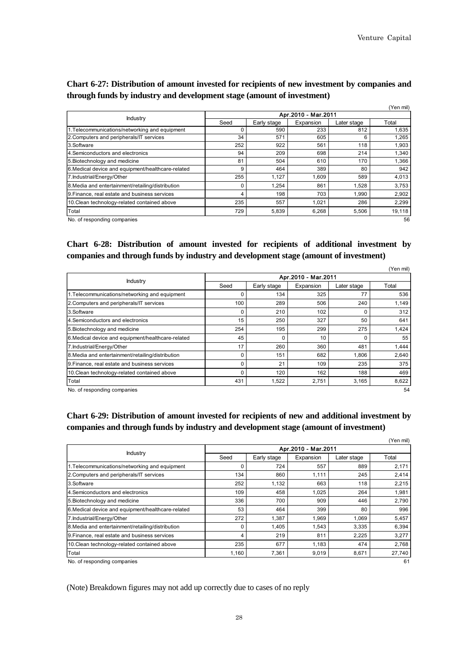|                                                    |                     |             |           |             | (Yen mil) |  |
|----------------------------------------------------|---------------------|-------------|-----------|-------------|-----------|--|
| Industry                                           | Apr.2010 - Mar.2011 |             |           |             |           |  |
|                                                    | Seed                | Early stage | Expansion | Later stage | Total     |  |
| 1. Telecommunications/networking and equipment     | $\Omega$            | 590         | 233       | 812         | 1,635     |  |
| 2. Computers and peripherals/IT services           | 34                  | 571         | 605       | 6           | 1,265     |  |
| 3.Software                                         | 252                 | 922         | 561       | 118         | 1,903     |  |
| 4. Semiconductors and electronics                  | 94                  | 209         | 698       | 214         | 1,340     |  |
| 5. Biotechnology and medicine                      | 81                  | 504         | 610       | 170         | 1,366     |  |
| 6. Medical device and equipment/healthcare-related | 9                   | 464         | 389       | 80          | 942       |  |
| 7. Industrial/Energy/Other                         | 255                 | 1.127       | 1.609     | 589         | 4,013     |  |
| 8. Media and entertainment/retailing/distribution  | $\Omega$            | 1,254       | 861       | 1,528       | 3,753     |  |
| 9. Finance, real estate and business services      | 4                   | 198         | 703       | 1,990       | 2,902     |  |
| 10. Clean technology-related contained above       | 235                 | 557         | 1,021     | 286         | 2,299     |  |
| Total                                              | 729                 | 5,839       | 6,268     | 5,506       | 19,118    |  |
| No. of responding companies                        |                     |             |           |             | 56        |  |

### **Chart 6-27: Distribution of amount invested for recipients of new investment by companies and through funds by industry and development stage (amount of investment)**

# **Chart 6-28: Distribution of amount invested for recipients of additional investment by companies and through funds by industry and development stage (amount of investment)**

|                                                    |                     |             |           |             | (Yen mil) |  |
|----------------------------------------------------|---------------------|-------------|-----------|-------------|-----------|--|
| <b>Industry</b>                                    | Apr.2010 - Mar.2011 |             |           |             |           |  |
|                                                    | Seed                | Early stage | Expansion | Later stage | Total     |  |
| 1. Telecommunications/networking and equipment     | 0                   | 134         | 325       | 77          | 536       |  |
| 2. Computers and peripherals/IT services           | 100                 | 289         | 506       | 240         | 1,149     |  |
| 3.Software                                         | 0                   | 210         | 102       |             | 312       |  |
| 4. Semiconductors and electronics                  | 15                  | 250         | 327       | 50          | 641       |  |
| 5. Biotechnology and medicine                      | 254                 | 195         | 299       | 275         | 1,424     |  |
| 6. Medical device and equipment/healthcare-related | 45                  | ŋ           | 10        |             | 55        |  |
| 7. Industrial/Energy/Other                         | 17                  | 260         | 360       | 481         | 1,444     |  |
| 8. Media and entertainment/retailing/distribution  | 0                   | 151         | 682       | 1.806       | 2,640     |  |
| 9. Finance, real estate and business services      | 0                   | 21          | 109       | 235         | 375       |  |
| 10. Clean technology-related contained above       | 0                   | 120         | 162       | 188         | 469       |  |
| Total                                              | 431                 | 1,522       | 2,751     | 3,165       | 8,622     |  |
| No. of responding companies                        |                     |             |           |             | 54        |  |

# **Chart 6-29: Distribution of amount invested for recipients of new and additional investment by companies and through funds by industry and development stage (amount of investment)**

|                                                    |                     |             |           |             | (Yen mil) |  |
|----------------------------------------------------|---------------------|-------------|-----------|-------------|-----------|--|
|                                                    | Apr.2010 - Mar.2011 |             |           |             |           |  |
| <b>Industry</b>                                    | Seed                | Early stage | Expansion | Later stage | Total     |  |
| 1. Telecommunications/networking and equipment     | $\Omega$            | 724         | 557       | 889         | 2,171     |  |
| 2. Computers and peripherals/IT services           | 134                 | 860         | 1,111     | 245         | 2,414     |  |
| 3.Software                                         | 252                 | 1,132       | 663       | 118         | 2,215     |  |
| 4. Semiconductors and electronics                  | 109                 | 458         | 1,025     | 264         | 1,981     |  |
| 5. Biotechnology and medicine                      | 336                 | 700         | 909       | 446         | 2,790     |  |
| 6. Medical device and equipment/healthcare-related | 53                  | 464         | 399       | 80          | 996       |  |
| 7. Industrial/Energy/Other                         | 272                 | 1,387       | 1,969     | 1,069       | 5,457     |  |
| 8. Media and entertainment/retailing/distribution  | $\Omega$            | 1.405       | 1,543     | 3,335       | 6,394     |  |
| 9. Finance, real estate and business services      | 4                   | 219         | 811       | 2,225       | 3,277     |  |
| 10. Clean technology-related contained above       | 235                 | 677         | 1,183     | 474         | 2,768     |  |
| Total                                              | 1,160               | 7,361       | 9,019     | 8,671       | 27,740    |  |
| No. of responding companies                        |                     |             |           |             | 61        |  |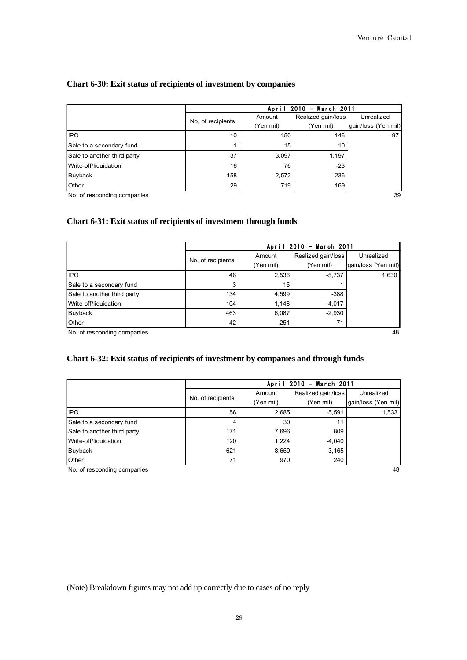#### **Chart 6-30: Exit status of recipients of investment by companies**

| Chart 6-30: Exit status of recipients of investment by companies |                                                         |                     |                                 |                                   |  |  |  |
|------------------------------------------------------------------|---------------------------------------------------------|---------------------|---------------------------------|-----------------------------------|--|--|--|
|                                                                  | March 2011<br>2010<br>April<br>$\overline{\phantom{a}}$ |                     |                                 |                                   |  |  |  |
|                                                                  | No, of recipients                                       | Amount<br>(Yen mil) | Realized gain/loss<br>(Yen mil) | Unrealized<br>gain/loss (Yen mil) |  |  |  |
| <b>IPO</b>                                                       | 10                                                      | 150                 | 146                             | $-97$                             |  |  |  |
| Sale to a secondary fund                                         |                                                         | 15                  | 10                              |                                   |  |  |  |
| Sale to another third party                                      | 37                                                      | 3,097               | 1,197                           |                                   |  |  |  |
| Write-off/liquidation                                            | 16                                                      | 76                  | $-23$                           |                                   |  |  |  |
| Buyback                                                          | 158                                                     | 2,572               | $-236$                          |                                   |  |  |  |
| Other                                                            | 29                                                      | 719                 | 169                             |                                   |  |  |  |

No. of responding companies 39

#### **Chart 6-31: Exit status of recipients of investment through funds**

|                             |                   | April 2010 - March 2011 |                    |                     |  |  |  |  |
|-----------------------------|-------------------|-------------------------|--------------------|---------------------|--|--|--|--|
|                             | No. of recipients | Amount                  | Realized gain/loss | Unrealized          |  |  |  |  |
|                             |                   | (Yen mil)               | (Yen mil)          | gain/loss (Yen mil) |  |  |  |  |
| <b>IPO</b>                  | 46                | 2,536                   | $-5,737$           | 1,630               |  |  |  |  |
| Sale to a secondary fund    | 3                 | 15                      |                    |                     |  |  |  |  |
| Sale to another third party | 134               | 4,599                   | $-388$             |                     |  |  |  |  |
| Write-off/liquidation       | 104               | 1,148                   | $-4,017$           |                     |  |  |  |  |
| Buyback                     | 463               | 6,087                   | $-2,930$           |                     |  |  |  |  |
| Other                       | 42                | 251                     | 71                 |                     |  |  |  |  |

#### **Chart 6-32: Exit status of recipients of investment by companies and through funds**

| Chart 6-32: Exit status of recipients of investment by companies and through funds |                                                |           |                    |                     |  |  |  |
|------------------------------------------------------------------------------------|------------------------------------------------|-----------|--------------------|---------------------|--|--|--|
|                                                                                    | March 2011<br>2010<br>April<br>$\qquad \qquad$ |           |                    |                     |  |  |  |
|                                                                                    |                                                | Amount    | Realized gain/loss | Unrealized          |  |  |  |
|                                                                                    | No, of recipients                              | (Yen mil) | (Yen mil)          | gain/loss (Yen mil) |  |  |  |
| <b>IPO</b>                                                                         | 56                                             | 2,685     | $-5.591$           | 1,533               |  |  |  |
| Sale to a secondary fund                                                           | 4                                              | 30        | 11                 |                     |  |  |  |
| Sale to another third party                                                        | 171                                            | 7,696     | 809                |                     |  |  |  |
| Write-off/liquidation                                                              | 120                                            | 1.224     | $-4,040$           |                     |  |  |  |
| <b>Buyback</b>                                                                     | 621                                            | 8,659     | $-3,165$           |                     |  |  |  |
| Other                                                                              | 71                                             | 970       | 240                |                     |  |  |  |

No. of responding companies 48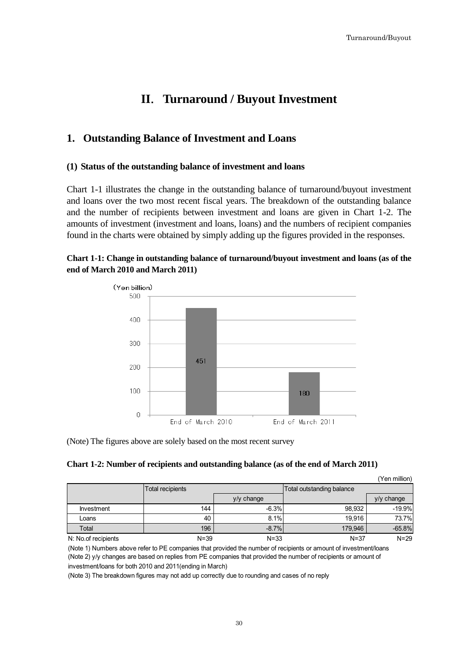# **II**.**Turnaround / Buyout Investment**

# <span id="page-34-1"></span><span id="page-34-0"></span>**1. Outstanding Balance of Investment and Loans**

#### <span id="page-34-2"></span>**(1) Status of the outstanding balance of investment and loans**

Chart 1-1 illustrates the change in the outstanding balance of turnaround/buyout investment and loans over the two most recent fiscal years. The breakdown of the outstanding balance and the number of recipients between investment and loans are given in Chart 1-2. The amounts of investment (investment and loans, loans) and the numbers of recipient companies found in the charts were obtained by simply adding up the figures provided in the responses.

# **Chart 1-1: Change in outstanding balance of turnaround/buyout investment and loans (as of the end of March 2010 and March 2011)**



(Note) The figures above are solely based on the most recent survey

| Chart 1-2: Number of recipients and outstanding balance (as of the end of March 2011) |
|---------------------------------------------------------------------------------------|
|---------------------------------------------------------------------------------------|

|                     |                  |            |                           | (Yen million) |
|---------------------|------------------|------------|---------------------------|---------------|
|                     | Total recipients |            | Total outstanding balance |               |
|                     |                  | y/y change |                           | y/y change    |
| Investment          | 144              | $-6.3%$    | 98.932                    | $-19.9%$      |
| Loans               | 40               | 8.1%       | 19.916                    | 73.7%         |
| Total               | 196              | $-8.7%$    | 179,946                   | $-65.8%$      |
| N: No.of recipients | $N = 39$         | $N = 33$   | $N = 37$                  | $N=29$        |

(Note 1) Numbers above refer to PE companies that provided the number of recipients or amount of investment/loans (Note 2) y/y changes are based on replies from PE companies that provided the number of recipients or amount of investment/loans for both 2010 and 2011(ending in March)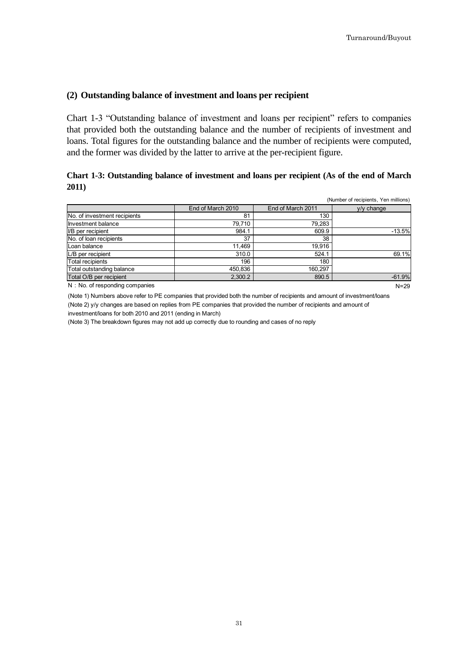## <span id="page-35-0"></span>**(2) Outstanding balance of investment and loans per recipient**

Chart 1-3 "Outstanding balance of investment and loans per recipient" refers to companies that provided both the outstanding balance and the number of recipients of investment and loans. Total figures for the outstanding balance and the number of recipients were computed, and the former was divided by the latter to arrive at the per-recipient figure.

# **Chart 1-3: Outstanding balance of investment and loans per recipient (As of the end of March 2011)**

|                                |                   |                   | (Number of recipients, Yen millions) |
|--------------------------------|-------------------|-------------------|--------------------------------------|
|                                | End of March 2010 | End of March 2011 | $v/v$ change                         |
| No. of investment recipients   | 81                | 130               |                                      |
| Investment balance             | 79.710            | 79,283            |                                      |
| I/B per recipient              | 984.1             | 609.9             | $-13.5%$                             |
| No. of loan recipients         | 37                | 38                |                                      |
| Loan balance                   | 11,469            | 19,916            |                                      |
| L/B per recipient              | 310.0             | 524.1             | 69.1%                                |
| <b>Total recipients</b>        | 196               | 180               |                                      |
| Total outstanding balance      | 450,836           | 160.297           |                                      |
| Total O/B per recipient        | 2,300.2           | 890.5             | $-61.9%$                             |
| N: No. of responding companies |                   |                   | $N=29$                               |

(Note 1) Numbers above refer to PE companies that provided both the number of recipients and amount of investment/loans (Note 2) y/y changes are based on replies from PE companies that provided the number of recipients and amount of investment/loans for both 2010 and 2011 (ending in March)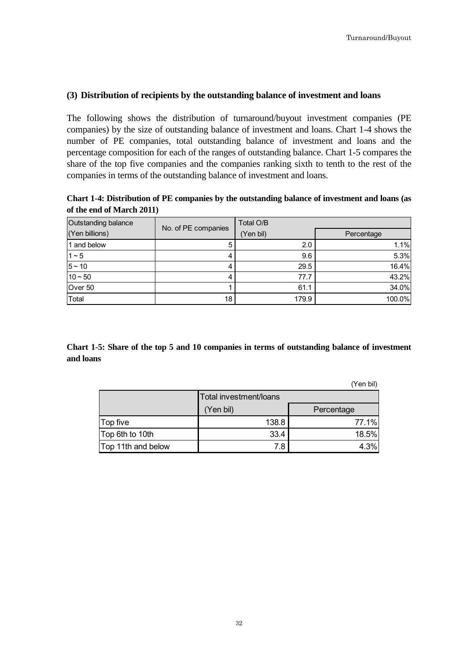## <span id="page-36-0"></span>**(3) Distribution of recipients by the outstanding balance of investment and loans**

The following shows the distribution of turnaround/buyout investment companies (PE companies) by the size of outstanding balance of investment and loans. Chart 1-4 shows the number of PE companies, total outstanding balance of investment and loans and the percentage composition for each of the ranges of outstanding balance. Chart 1-5 compares the share of the top five companies and the companies ranking sixth to tenth to the rest of the companies in terms of the outstanding balance of investment and loans.

**Chart 1-4: Distribution of PE companies by the outstanding balance of investment and loans (as of the end of March 2011)**

| Outstanding balance | No. of PE companies | Total O/B |            |
|---------------------|---------------------|-----------|------------|
| (Yen billions)      |                     | (Yen bil) | Percentage |
| 1 and below         | 5                   | 2.0       | 1.1%       |
| $1 - 5$             | 4                   | 9.6       | 5.3%       |
| $5 - 10$            |                     | 29.5      | 16.4%      |
| $10 - 50$           | 4                   | 77.7      | 43.2%      |
| Over 50             |                     | 61.1      | 34.0%      |
| Total               | 18                  | 179.9     | 100.0%     |

**Chart 1-5: Share of the top 5 and 10 companies in terms of outstanding balance of investment and loans**

(Yen bil)

|                    | Total investment/loans |            |  |
|--------------------|------------------------|------------|--|
|                    | (Yen bil)              | Percentage |  |
| Top five           | 138.8                  | 77.1%      |  |
| Top 6th to 10th    | 33.4                   | 18.5%      |  |
| Top 11th and below | 7.8                    | 4.3%       |  |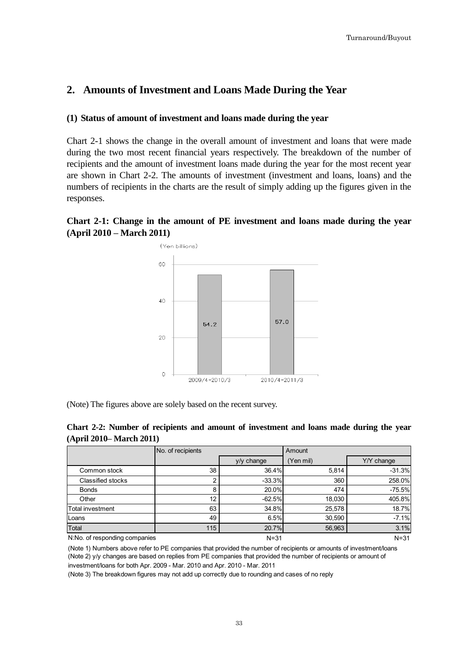# <span id="page-37-0"></span>**2. Amounts of Investment and Loans Made During the Year**

#### <span id="page-37-1"></span>**(1) Status of amount of investment and loans made during the year**

Chart 2-1 shows the change in the overall amount of investment and loans that were made during the two most recent financial years respectively. The breakdown of the number of recipients and the amount of investment loans made during the year for the most recent year are shown in Chart 2-2. The amounts of investment (investment and loans, loans) and the numbers of recipients in the charts are the result of simply adding up the figures given in the responses.

# **Chart 2-1: Change in the amount of PE investment and loans made during the year (April 2010 – March 2011)**



(Note) The figures above are solely based on the recent survey.

| Chart 2-2: Number of recipients and amount of investment and loans made during the year |  |  |  |  |
|-----------------------------------------------------------------------------------------|--|--|--|--|
| (April 2010– March 2011)                                                                |  |  |  |  |

|                               | No. of recipients |              | Amount    |            |  |
|-------------------------------|-------------------|--------------|-----------|------------|--|
|                               |                   | $y/y$ change | (Yen mil) | Y/Y change |  |
| Common stock                  | 38                | 36.4%        | 5,814     | $-31.3%$   |  |
| Classified stocks             | 2                 | $-33.3%$     | 360       | 258.0%     |  |
| <b>Bonds</b>                  | 8                 | 20.0%        | 474       | $-75.5%$   |  |
| Other                         | 12 <sup>°</sup>   | $-62.5%$     | 18,030    | 405.8%     |  |
| Total investment              | 63                | 34.8%        | 25,578    | 18.7%      |  |
| Loans                         | 49                | 6.5%         | 30,590    | $-7.1%$    |  |
| Total                         | 115               | 20.7%        | 56,963    | 3.1%       |  |
| N:No. of responding companies |                   | $N = 31$     |           | $N = 31$   |  |

(Note 1) Numbers above refer to PE companies that provided the number of recipients or amounts of investment/loans (Note 2) y/y changes are based on replies from PE companies that provided the number of recipients or amount of investment/loans for both Apr. 2009 - Mar. 2010 and Apr. 2010 - Mar. 2011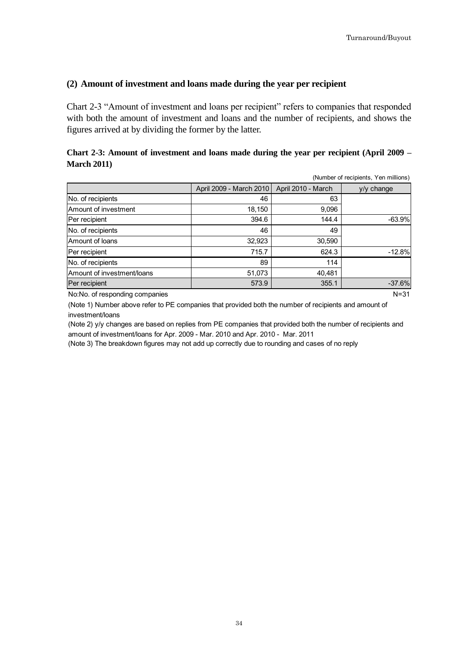#### <span id="page-38-0"></span>**(2) Amount of investment and loans made during the year per recipient**

Chart 2-3 "Amount of investment and loans per recipient" refers to companies that responded with both the amount of investment and loans and the number of recipients, and shows the figures arrived at by dividing the former by the latter.

### **Chart 2-3: Amount of investment and loans made during the year per recipient (April 2009 – March 2011)**

|                            |                         |                    | (Number of recipients, Yen millions) |
|----------------------------|-------------------------|--------------------|--------------------------------------|
|                            | April 2009 - March 2010 | April 2010 - March | $y/y$ change                         |
| No. of recipients          | 46                      | 63                 |                                      |
| Amount of investment       | 18,150                  | 9,096              |                                      |
| Per recipient              | 394.6                   | 144.4              | $-63.9%$                             |
| No. of recipients          | 46                      | 49                 |                                      |
| Amount of loans            | 32,923                  | 30,590             |                                      |
| Per recipient              | 715.7                   | 624.3              | $-12.8%$                             |
| No. of recipients          | 89                      | 114                |                                      |
| Amount of investment/loans | 51,073                  | 40,481             |                                      |
| Per recipient              | 573.9                   | 355.1              | $-37.6%$                             |

No:No. of responding companies Note and the set of the set of the set of the set of the N=31

(Note 1) Number above refer to PE companies that provided both the number of recipients and amount of investment/loans

<span id="page-38-1"></span>(Note 2) y/y changes are based on replies from PE companies that provided both the number of recipients and amount of investment/loans for Apr. 2009 - Mar. 2010 and Apr. 2010 - Mar. 2011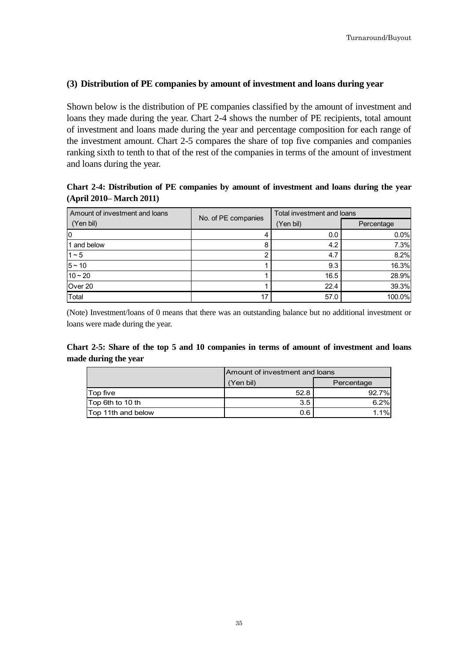#### **(3) Distribution of PE companies by amount of investment and loans during year**

Shown below is the distribution of PE companies classified by the amount of investment and loans they made during the year. Chart 2-4 shows the number of PE recipients, total amount of investment and loans made during the year and percentage composition for each range of the investment amount. Chart 2-5 compares the share of top five companies and companies ranking sixth to tenth to that of the rest of the companies in terms of the amount of investment and loans during the year.

# **Chart 2-4: Distribution of PE companies by amount of investment and loans during the year (April 2010– March 2011)**

| Amount of investment and loans | No. of PE companies | Total investment and loans |            |  |
|--------------------------------|---------------------|----------------------------|------------|--|
| (Yen bil)                      |                     | (Yen bil)                  | Percentage |  |
| 10                             | 4                   | 0.0                        | 0.0%       |  |
| 1 and below                    | 8                   | 4.2                        | 7.3%       |  |
| $1 - 5$                        | ◠                   | 4.7                        | 8.2%       |  |
| $5 - 10$                       |                     | 9.3                        | 16.3%      |  |
| $10 - 20$                      |                     | 16.5                       | 28.9%      |  |
| Over 20                        |                     | 22.4                       | 39.3%      |  |
| Total                          | 17                  | 57.0                       | 100.0%     |  |

(Note) Investment/loans of 0 means that there was an outstanding balance but no additional investment or loans were made during the year.

#### **Chart 2-5: Share of the top 5 and 10 companies in terms of amount of investment and loans made during the year**

|                    | Amount of investment and loans |            |  |
|--------------------|--------------------------------|------------|--|
|                    | Yen bil)                       | Percentage |  |
| Top five           | 52.8                           | 92.7%      |  |
| Top 6th to 10 th   | 3.5                            | 6.2%       |  |
| Top 11th and below | 0.6                            | $.1\%$     |  |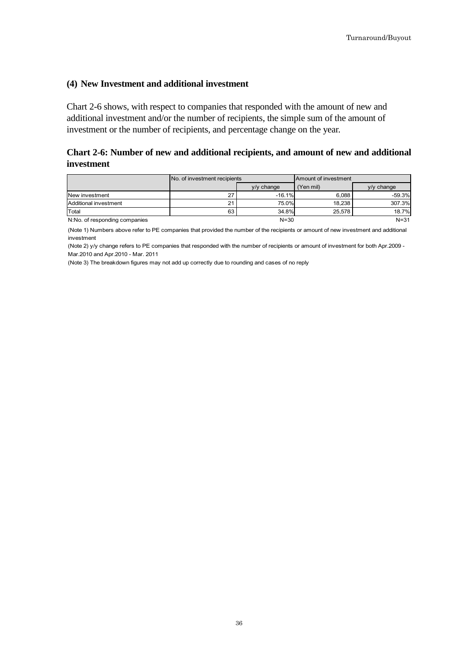#### <span id="page-40-0"></span>**(4) New Investment and additional investment**

Chart 2-6 shows, with respect to companies that responded with the amount of new and additional investment and/or the number of recipients, the simple sum of the amount of investment or the number of recipients, and percentage change on the year.

### **Chart 2-6: Number of new and additional recipients, and amount of new and additional investment**

|                               | No. of investment recipients |              | Amount of investment |              |
|-------------------------------|------------------------------|--------------|----------------------|--------------|
|                               |                              | $y/y$ change | (Yen mil)            | $y/y$ change |
| New investment                | 27                           | $-16.1%$     | 6.088                | $-59.3\%$    |
| Additional investment         | $^{\circ}$                   | 75.0%        | 18.238               | 307.3%       |
| Total                         | 63                           | 34.8%        | 25.578               | 18.7%        |
| N:No. of responding companies |                              | $N = 30$     |                      | $N = 31$     |

(Note 1) Numbers above refer to PE companies that provided the number of the recipients or amount of new investment and additional investment

<span id="page-40-1"></span>(Note 2) y/y change refers to PE companies that responded with the number of recipients or amount of investment for both Apr.2009 - Mar.2010 and Apr.2010 - Mar. 2011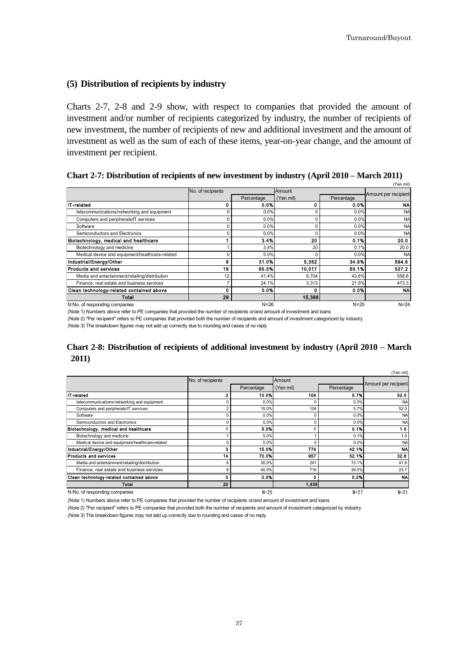#### **(5) Distribution of recipients by industry**

Charts 2-7, 2-8 and 2-9 show, with respect to companies that provided the amount of investment and/or number of recipients categorized by industry, the number of recipients of new investment, the number of recipients of new and additional investment and the amount of investment as well as the sum of each of these items, year-on-year change, and the amount of investment per recipient.

**Chart 2-7: Distribution of recipients of new investment by industry (April 2010 – March 2011)**

|                                                 | No. of recipients |            | Amount    |            | (Yen mil)            |
|-------------------------------------------------|-------------------|------------|-----------|------------|----------------------|
|                                                 |                   | Percentage | (Yen mil) | Percentage | Amount per recipient |
| <b>IT-related</b>                               | ۵                 | 0.0%       | 0         | 0.0%       | <b>NA</b>            |
| telecommunications/networking and equipment     |                   | 0.0%       | $\Omega$  | 0.0%       | <b>NA</b>            |
| Computers and peripherals/IT services           | 0                 | 0.0%       | 0         | 0.0%       | <b>NA</b>            |
| Software                                        | n                 | 0.0%       | 0         | 0.0%       | <b>NA</b>            |
| Semiconductors and Electronics                  |                   | 0.0%       | $\Omega$  | 0.0%       | <b>NA</b>            |
| Biotechnology, medical and healthcare           |                   | 3.4%       | 20        | 0.1%       | 20.0                 |
| Biotechnology and medicine                      |                   | 3.4%       | 20        | 0.1%       | 20.0                 |
| Medical device and equipment/healthcare-related |                   | 0.0%       | $\Omega$  | 0.0%       | <b>NA</b>            |
| Industrial/Energy/Other                         | 9                 | 31.0%      | 5.352     | 34.8%      | 594.6                |
| <b>Products and services</b>                    | 19                | 65.5%      | 10,017    | 65.1%      | 527.2                |
| Media and entertainment/retailing/distribution  | 12                | 41.4%      | 6,704     | 43.6%      | 558.6                |
| Finance, real estate and business services      |                   | 24.1%      | 3.313     | 21.5%      | 473.3                |
| Clean technology-related contained above        | O                 | 0.0%       | 0         | 0.0%       | <b>NA</b>            |
| Total                                           | 29                |            | 15,388    |            |                      |
| N:No. of responding companies                   |                   | $N = 26$   |           | $N = 25$   | $N=24$               |

(Note 1) Numbers above refer to PE companies that provided the number of recipients or/and amount of investment and loans

(Note 2) "Per recipient" refers to PE companies that provided both the number of recipients and amount of investment categorized by industry

(Note 3) The breakdown figures may not add up correctly due to rounding and cases of no reply

#### **Chart 2-8: Distribution of recipients of additional investment by industry (April 2010 – March 2011)**

|                                                 |                   |            |           |            | (Yen mil)            |
|-------------------------------------------------|-------------------|------------|-----------|------------|----------------------|
|                                                 | No. of recipients |            | Amount    |            |                      |
|                                                 |                   | Percentage | (Yen mil) | Percentage | Amount per recipient |
| IT-related                                      | 2                 | 10.0%      | 104       | 5.7%       | 52.0                 |
| telecommunications/networking and equipment     |                   | 0.0%       |           | 0.0%       | <b>NA</b>            |
| Computers and peripherals/IT services           |                   | 10.0%      | 104       | 5.7%       | 52.0                 |
| Software                                        |                   | 0.0%       |           | 0.0%       | <b>NA</b>            |
| Semiconductors and Electronics                  |                   | 0.0%       |           | 0.0%       | <b>NA</b>            |
| Biotechnology, medical and healthcare           |                   | 5.0%       |           | 0.1%       | 1.0                  |
| Biotechnology and medicine                      |                   | 5.0%       |           | 0.1%       | 1.0                  |
| Medical device and equipment/healthcare-related |                   | 0.0%       |           | 0.0%       | <b>NA</b>            |
| Industrial/Energy/Other                         | 3                 | 15.0%      | 774       | 42.1%      | <b>NA</b>            |
| <b>Products and services</b>                    | 14                | 70.0%      | 957       | 52.1%      | 32.8                 |
| Media and entertainment/retailing/distribution  | 6                 | 30.0%      | 241       | 13.1%      | 41.8                 |
| Finance, real estate and business services      | 8                 | 40.0%      | 716       | 39.0%      | 23.7                 |
| Clean technology-related contained above        | Λ                 | 0.0%       | 0         | 0.0%       | <b>NA</b>            |
| Total                                           | 20                |            | 1,836     |            |                      |
| N:No. of responding companies                   |                   | $N = 25$   |           | $N=27$     | $N=21$               |

(Note 1) Numbers above refer to PE companies that provided the number of recipients or/and amount of investment and loans

(Note 2) "Per recipient" refers to PE companies that provided both the number of recipients and amount of investment categorized by industry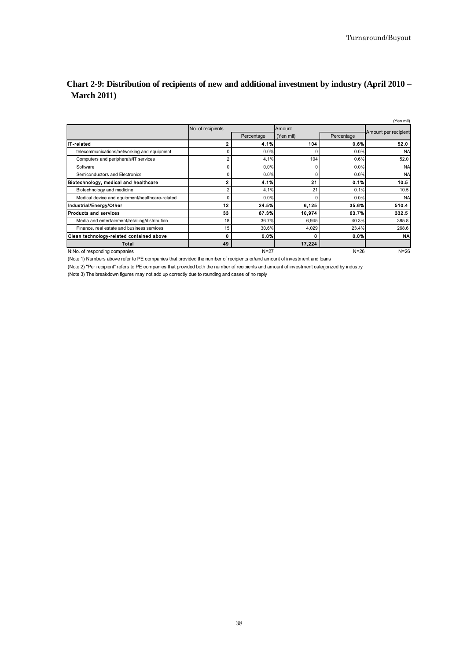# **Chart 2-9: Distribution of recipients of new and additional investment by industry (April 2010 – March 2011)**

|                                                 |                   |            |           |            | (Yen mil)            |
|-------------------------------------------------|-------------------|------------|-----------|------------|----------------------|
|                                                 | No. of recipients |            | Amount    |            |                      |
|                                                 |                   | Percentage | (Yen mil) | Percentage | Amount per recipient |
| <b>IT-related</b>                               |                   | 4.1%       | 104       | 0.6%       | 52.0                 |
| telecommunications/networking and equipment     |                   | 0.0%       | $\Omega$  | 0.0%       | <b>NA</b>            |
| Computers and peripherals/IT services           | 2                 | 4.1%       | 104       | 0.6%       | 52.0                 |
| Software                                        |                   | 0.0%       | 0         | 0.0%       | <b>NA</b>            |
| Semiconductors and Electronics                  |                   | 0.0%       | $\Omega$  | 0.0%       | <b>NA</b>            |
| Biotechnology, medical and healthcare           | 2                 | 4.1%       | 21        | 0.1%       | 10.5                 |
| Biotechnology and medicine                      |                   | 4.1%       | 21        | 0.1%       | 10.5                 |
| Medical device and equipment/healthcare-related |                   | 0.0%       | O         | 0.0%       | <b>NA</b>            |
| Industrial/Energy/Other                         | 12                | 24.5%      | 6,125     | 35.6%      | 510.4                |
| <b>Products and services</b>                    | 33                | 67.3%      | 10,974    | 63.7%      | 332.5                |
| Media and entertainment/retailing/distribution  | 18                | 36.7%      | 6,945     | 40.3%      | 385.8                |
| Finance, real estate and business services      | 15                | 30.6%      | 4,029     | 23.4%      | 268.6                |
| Clean technology-related contained above        |                   | 0.0%       | 0         | 0.0%       | <b>NA</b>            |
| Total                                           | 49                |            | 17.224    |            |                      |
| N:No. of responding companies                   |                   | $N = 27$   |           | $N = 26$   | $N=26$               |

(Note 1) Numbers above refer to PE companies that provided the number of recipients or/and amount of investment and loans

(Note 2) "Per recipient" refers to PE companies that provided both the number of recipients and amount of investment categorized by industry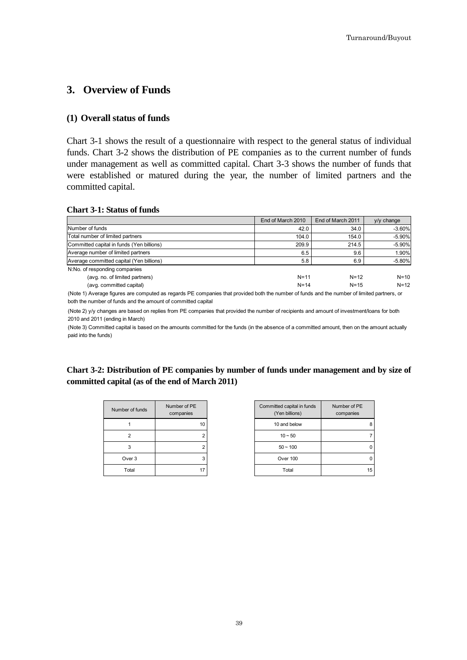# <span id="page-43-0"></span>**3. Overview of Funds**

#### <span id="page-43-1"></span>**(1) Overall status of funds**

Chart 3-1 shows the result of a questionnaire with respect to the general status of individual funds. Chart 3-2 shows the distribution of PE companies as to the current number of funds under management as well as committed capital. Chart 3-3 shows the number of funds that were established or matured during the year, the number of limited partners and the committed capital.

#### **Chart 3-1: Status of funds**

|                                           | End of March 2010 | End of March 2011 | $V/V$ change |
|-------------------------------------------|-------------------|-------------------|--------------|
| Number of funds                           | 42.0              | 34.0              | $-3.60%$     |
| Total number of limited partners          | 104.0             | 154.0             | $-5.90%$     |
| Committed capital in funds (Yen billions) | 209.9             | 214.5             | $-5.90%$     |
| Average number of limited partners        | 6.5               | 9.6               | 1.90%        |
| Average committed capital (Yen billions)  | 5.8               | 6.9               | $-5.80%$     |
| N:No. of responding companies             |                   |                   |              |
| (avg. no. of limited partners)            | $N=11$            | $N = 12$          | $N = 10$     |
| (avg. committed capital)                  | $N = 14$          | $N = 15$          | $N = 12$     |

(Note 1) Average figures are computed as regards PE companies that provided both the number of funds and the number of limited partners, or both the number of funds and the amount of committed capital

(Note 2) y/y changes are based on replies from PE companies that provided the number of recipients and amount of investment/loans for both 2010 and 2011 (ending in March)

(Note 3) Committed capital is based on the amounts committed for the funds (in the absence of a committed amount, then on the amount actually paid into the funds)

**Chart 3-2: Distribution of PE companies by number of funds under management and by size of committed capital (as of the end of March 2011)** 

| Number of funds   | Number of PE<br>companies |
|-------------------|---------------------------|
|                   | 10                        |
| 2                 | 2                         |
| 3                 | 2                         |
| Over <sub>3</sub> | з                         |
| Total             |                           |

| ber of funds | Number of PE<br>companies | Committed capital in funds<br>(Yen billions) | Number of PE<br>companies |
|--------------|---------------------------|----------------------------------------------|---------------------------|
|              | 10                        | 10 and below                                 | 8                         |
| 2            |                           | $10 - 50$                                    |                           |
| 3            |                           | $50 - 100$                                   | 0                         |
| Over 3       | 3                         | Over 100                                     | 0                         |
| Total        | 17                        | Total                                        | 15                        |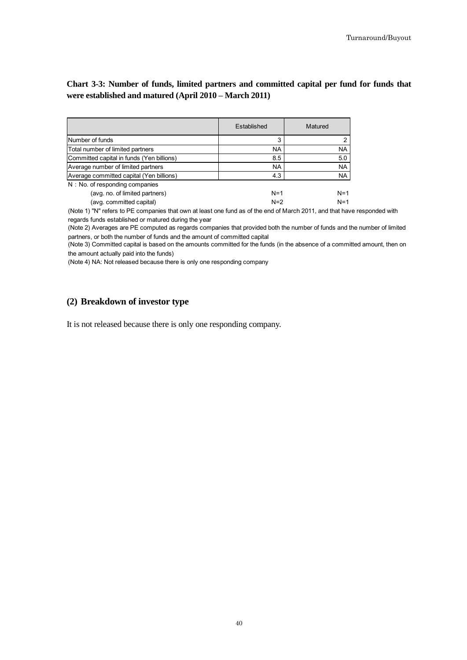# **Chart 3-3: Number of funds, limited partners and committed capital per fund for funds that were established and matured (April 2010 – March 2011)**

|                                           | Established | Matured   |
|-------------------------------------------|-------------|-----------|
| Number of funds                           | 3           |           |
| Total number of limited partners          | <b>NA</b>   | <b>NA</b> |
| Committed capital in funds (Yen billions) | 8.5         | 5.0       |
| Average number of limited partners        | <b>NA</b>   | <b>NA</b> |
| Average committed capital (Yen billions)  | 4.3         | <b>NA</b> |
| N : No. of responding companies           |             |           |
| (avg. no. of limited partners)            | $N=1$       | $N=1$     |
| (avg. committed capital)                  | $N=2$       | $N=1$     |

(Note 1) "N" refers to PE companies that own at least one fund as of the end of March 2011, and that have responded with regards funds established or matured during the year

(Note 2) Averages are PE computed as regards companies that provided both the number of funds and the number of limited partners, or both the number of funds and the amount of committed capital

(Note 3) Committed capital is based on the amounts committed for the funds (in the absence of a committed amount, then on the amount actually paid into the funds)

(Note 4) NA: Not released because there is only one responding company

#### <span id="page-44-0"></span>**(2) Breakdown of investor type**

<span id="page-44-1"></span>It is not released because there is only one responding company.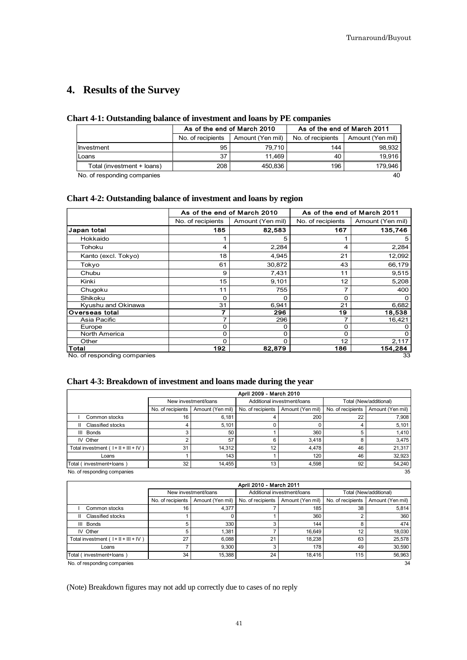# **4. Results of the Survey**

#### **Chart 4-1: Outstanding balance of investment and loans by PE companies**

|                             |                   | As of the end of March 2010 | As of the end of March 2011 |                  |  |
|-----------------------------|-------------------|-----------------------------|-----------------------------|------------------|--|
|                             | No. of recipients | Amount (Yen mil)            | No. of recipients           | Amount (Yen mil) |  |
| Investment                  | 95                | 79.710                      | 144                         | 98,932           |  |
| Loans                       | 37                | 11.469                      | 40                          | 19.916           |  |
| Total (investment + loans)  | 208               | 450,836                     | 196                         | 179.946          |  |
| No. of responding companies |                   |                             |                             | 40               |  |

#### **Chart 4-2: Outstanding balance of investment and loans by region**

|                             |                   | As of the end of March 2010 | As of the end of March 2011 |                  |  |
|-----------------------------|-------------------|-----------------------------|-----------------------------|------------------|--|
|                             | No. of recipients | Amount (Yen mil)            | No. of recipients           | Amount (Yen mil) |  |
| Japan total                 | 185               | 82,583                      | 167                         | 135,746          |  |
| Hokkaido                    |                   | 5                           | 1                           | 5                |  |
| Tohoku                      | 4                 | 2,284                       | 4                           | 2,284            |  |
| Kanto (excl. Tokyo)         | 18                | 4,945                       | 21                          | 12,092           |  |
| Tokyo                       | 61                | 30,872                      | 43                          | 66,179           |  |
| Chubu                       | 9                 | 7,431                       | 11                          | 9,515            |  |
| Kinki                       | 15                | 9,101                       | 12                          | 5,208            |  |
| Chugoku                     | 11                | 755                         | 7                           | 400              |  |
| Shikoku                     | 0                 | O                           | O                           | O                |  |
| Kyushu and Okinawa          | 31                | 6,941                       | 21                          | 6,682            |  |
| Overseas total              | 7                 | 296                         | 19                          | 18,538           |  |
| Asia Pacific                | 7                 | 296                         | 7                           | 16,421           |  |
| Europe                      | 0                 | O                           | 0                           |                  |  |
| North America               | $\Omega$          | O                           | $\Omega$                    | O                |  |
| Other                       | $\Omega$          | O                           | 12                          | 2,117            |  |
| Total                       | 192               | 82,879                      | 186                         | 154,284          |  |
| No. of responding companies |                   |                             |                             | 33               |  |

#### **Chart 4-3: Breakdown of investment and loans made during the year**

| April 2009 - March 2010               |                   |                      |                   |                             |                   |                        |  |
|---------------------------------------|-------------------|----------------------|-------------------|-----------------------------|-------------------|------------------------|--|
|                                       |                   | New investment/loans |                   | Additional investment/loans |                   | Total (New/additional) |  |
|                                       | No. of recipients | Amount (Yen mil)     | No. of recipients | Amount (Yen mil)            | No. of recipients | Amount (Yen mil)       |  |
| Common stocks                         | 16                | 6.181                |                   | 200                         | 22                | 7.908                  |  |
| Classified stocks<br>Ш.               | 4                 | 5,101                |                   |                             |                   | 5,101                  |  |
| III Bonds                             | 3                 | 50                   |                   | 360                         | 5                 | 1,410                  |  |
| IV Other                              | ົ                 | 57                   |                   | 3.418                       | 8                 | 3,475                  |  |
| Total investment $(1 +    +    +   )$ | 31                | 14.312               | 12                | 4.478                       | 46                | 21,317                 |  |
| Loans                                 |                   | 143                  |                   | 120                         | 46                | 32,923                 |  |
| Total (investment+loans)              | 32                | 14,455               | 13                | 4,598                       | 92                | 54,240                 |  |
| 35<br>No. of responding companies     |                   |                      |                   |                             |                   |                        |  |

| April 2010 - March 2011                    |                   |                      |                   |                             |                   |                        |  |
|--------------------------------------------|-------------------|----------------------|-------------------|-----------------------------|-------------------|------------------------|--|
|                                            |                   | New investment/loans |                   | Additional investment/loans |                   | Total (New/additional) |  |
|                                            | No. of recipients | Amount (Yen mil)     | No. of recipients | Amount (Yen mil)            | No. of recipients | Amount (Yen mil)       |  |
| Common stocks                              | 16                | 4,377                |                   | 185                         | 38                | 5,814                  |  |
| Classified stocks                          |                   |                      |                   | 360                         |                   | 360                    |  |
| Bonds<br>Ш                                 | 5                 | 330                  |                   | 144                         | 8                 | 474                    |  |
| IV Other                                   |                   | 1.381                |                   | 16.649                      | 12                | 18,030                 |  |
| Total investment $(1 +    +    +    \vee)$ | 27                | 6,088                | 21                | 18,238                      | 63                | 25,578                 |  |
| Loans                                      |                   | 9,300                |                   | 178                         | 49                | 30,590                 |  |
| Total (investment+loans)                   | 34                | 15,388               | 24                | 18,416                      | 115               | 56,963                 |  |
| No. of responding companies<br>34          |                   |                      |                   |                             |                   |                        |  |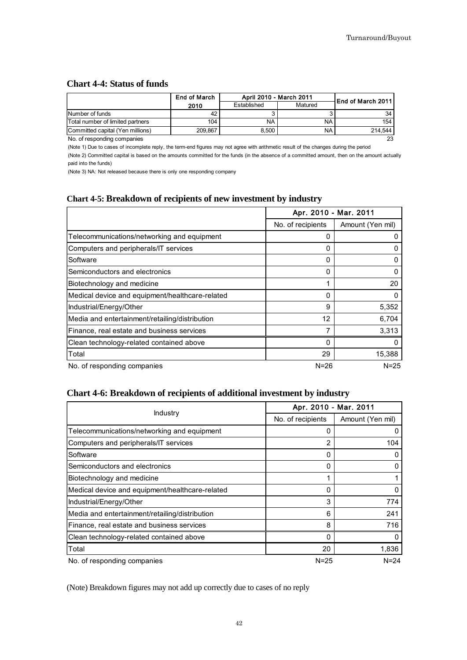#### **Chart 4-4: Status of funds**

|                                  | <b>End of March</b> | April 2010 - March 2011 | <b>IEnd of March 2011</b> |         |
|----------------------------------|---------------------|-------------------------|---------------------------|---------|
|                                  | 2010                | Established             | Matured                   |         |
| Number of funds                  |                     |                         |                           | 34      |
| Total number of limited partners | 104                 | NA                      | NA.                       | 154     |
| Committed capital (Yen millions) | 209.867             | 8.500                   | NA                        | 214.544 |
| No. of responding companies      |                     |                         |                           | 23      |

(Note 1) Due to cases of incomplete reply, the term-end figures may not agree with arithmetic result of the changes during the period

(Note 2) Committed capital is based on the amounts committed for the funds (in the absence of a committed amount, then on the amount actually paid into the funds)

(Note 3) NA: Not released because there is only one responding company

## **Chart 4-5: Breakdown of recipients of new investment by industry**

|                                                 | Apr. 2010 - Mar. 2011 |                  |
|-------------------------------------------------|-----------------------|------------------|
|                                                 | No. of recipients     | Amount (Yen mil) |
| Telecommunications/networking and equipment     | 0                     |                  |
| Computers and peripherals/IT services           | 0                     |                  |
| Software                                        | 0                     | 0                |
| Semiconductors and electronics                  | 0                     | 0                |
| Biotechnology and medicine                      | 1                     | 20               |
| Medical device and equipment/healthcare-related | 0                     | O                |
| Industrial/Energy/Other                         | 9                     | 5,352            |
| Media and entertainment/retailing/distribution  | 12                    | 6,704            |
| Finance, real estate and business services      | 7                     | 3,313            |
| Clean technology-related contained above        | 0                     |                  |
| Total                                           | 29                    | 15,388           |
| No. of responding companies                     | $N = 26$              | $N = 25$         |

# **Chart 4-6: Breakdown of recipients of additional investment by industry**

|                                                 | Apr. 2010 - Mar. 2011 |                  |
|-------------------------------------------------|-----------------------|------------------|
| <b>Industry</b>                                 | No. of recipients     | Amount (Yen mil) |
| Telecommunications/networking and equipment     | 0                     |                  |
| Computers and peripherals/IT services           | $\mathfrak{p}$        | 104              |
| Software                                        | 0                     |                  |
| Semiconductors and electronics                  | 0                     |                  |
| Biotechnology and medicine                      | 4                     |                  |
| Medical device and equipment/healthcare-related | 0                     | O                |
| Industrial/Energy/Other                         | 3                     | 774              |
| Media and entertainment/retailing/distribution  | 6                     | 241              |
| Finance, real estate and business services      | 8                     | 716              |
| Clean technology-related contained above        | 0                     |                  |
| Total                                           | 20                    | 1,836            |
| No. of responding companies                     | $N = 25$              | $N = 24$         |